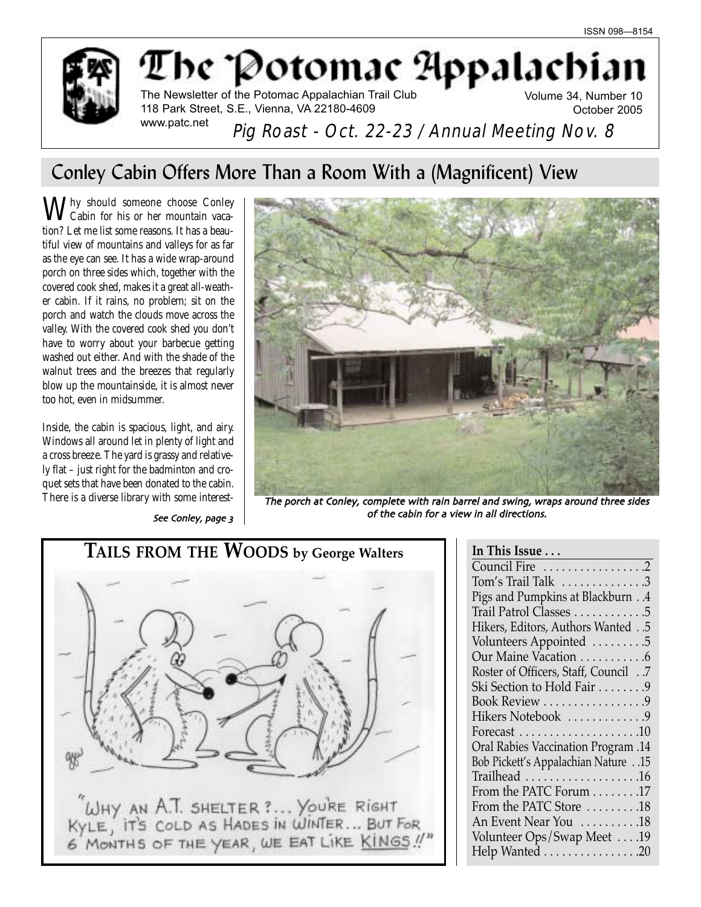

The Potomac Appalachi

The Newsletter of the Potomac Appalachian Trail Club 118 Park Street, S.E., Vienna, VA 22180-4609 www.patc.net

Volume 34, Number 10 October 2005

Pig Roast - Oct. 22-23 / Annual Meeting Nov. 8

# Conley Cabin Offers More Than a Room With a (Magnificent) View

Thy should someone choose Conley Cabin for his or her mountain vacation? Let me list some reasons. It has a beautiful view of mountains and valleys for as far as the eye can see. It has a wide wrap-around porch on three sides which, together with the covered cook shed, makes it a great all-weather cabin. If it rains, no problem; sit on the porch and watch the clouds move across the valley. With the covered cook shed you don't have to worry about your barbecue getting washed out either. And with the shade of the walnut trees and the breezes that regularly blow up the mountainside, it is almost never too hot, even in midsummer.

Inside, the cabin is spacious, light, and airy. Windows all around let in plenty of light and a cross breeze. The yard is grassy and relatively flat – just right for the badminton and croquet sets that have been donated to the cabin.

See Conley, page 3



There is a diverse library with some interest- The porch at Conley, complete with rain barrel and swing, wraps around three sides of the cabin for a view in all directions



| In This Issue                                      |
|----------------------------------------------------|
| Council Fire 2                                     |
| $Tom's$ Trail Talk $\ldots \ldots \ldots \ldots 3$ |
| Pigs and Pumpkins at Blackburn4                    |
| Trail Patrol Classes 5                             |
| Hikers, Editors, Authors Wanted5                   |
| Volunteers Appointed 5                             |
| Our Maine Vacation 6                               |
| Roster of Officers, Staff, Council .7              |
| Ski Section to Hold Fair 9                         |
| Book Review 9                                      |
| Hikers Notebook 9                                  |
| Forecast $\dots\dots\dots\dots\dots\dots\dots$     |
| <b>Oral Rabies Vaccination Program .14</b>         |
| 15. Bob Pickett's Appalachian Nature15             |
|                                                    |
| From the PATC Forum 17                             |
| From the PATC Store 18                             |
| An Event Near You 18                               |
| Volunteer Ops/Swap Meet 19                         |
| Help Wanted 20                                     |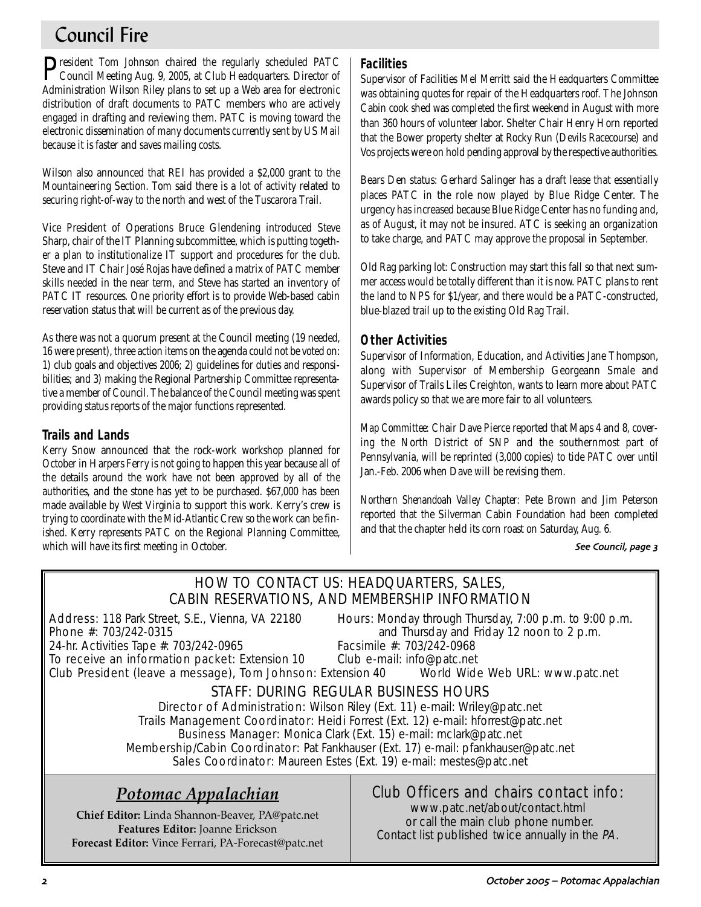# Council Fire

President Tom Johnson chaired the regularly scheduled PATC<br>Council Meeting Aug. 9, 2005, at Club Headquarters. Director of Administration Wilson Riley plans to set up a Web area for electronic distribution of draft documents to PATC members who are actively engaged in drafting and reviewing them. PATC is moving toward the electronic dissemination of many documents currently sent by US Mail because it is faster and saves mailing costs.

Wilson also announced that REI has provided a \$2,000 grant to the Mountaineering Section. Tom said there is a lot of activity related to securing right-of-way to the north and west of the Tuscarora Trail.

Vice President of Operations Bruce Glendening introduced Steve Sharp, chair of the IT Planning subcommittee, which is putting together a plan to institutionalize IT support and procedures for the club. Steve and IT Chair José Rojas have defined a matrix of PATC member skills needed in the near term, and Steve has started an inventory of PATC IT resources. One priority effort is to provide Web-based cabin reservation status that will be current as of the previous day.

As there was not a quorum present at the Council meeting (19 needed, 16 were present), three action items on the agenda could not be voted on: 1) club goals and objectives 2006; 2) guidelines for duties and responsibilities; and 3) making the Regional Partnership Committee representative a member of Council. The balance of the Council meeting was spent providing status reports of the major functions represented.

# **Trails and Lands**

Kerry Snow announced that the rock-work workshop planned for October in Harpers Ferry is not going to happen this year because all of the details around the work have not been approved by all of the authorities, and the stone has yet to be purchased. \$67,000 has been made available by West Virginia to support this work. Kerry's crew is trying to coordinate with the Mid-Atlantic Crew so the work can be finished. Kerry represents PATC on the Regional Planning Committee, which will have its first meeting in October.

# **Facilities**

Supervisor of Facilities Mel Merritt said the Headquarters Committee was obtaining quotes for repair of the Headquarters roof. The Johnson Cabin cook shed was completed the first weekend in August with more than 360 hours of volunteer labor. Shelter Chair Henry Horn reported that the Bower property shelter at Rocky Run (Devils Racecourse) and Vos projects were on hold pending approval by the respective authorities.

Bears Den status: Gerhard Salinger has a draft lease that essentially places PATC in the role now played by Blue Ridge Center. The urgency has increased because Blue Ridge Center has no funding and, as of August, it may not be insured. ATC is seeking an organization to take charge, and PATC may approve the proposal in September.

Old Rag parking lot: Construction may start this fall so that next summer access would be totally different than it is now. PATC plans to rent the land to NPS for \$1/year, and there would be a PATC-constructed, blue-blazed trail up to the existing Old Rag Trail.

# **Other Activities**

Supervisor of Information, Education, and Activities Jane Thompson, along with Supervisor of Membership Georgeann Smale and Supervisor of Trails Liles Creighton, wants to learn more about PATC awards policy so that we are more fair to all volunteers.

*Map Committee:* Chair Dave Pierce reported that Maps 4 and 8, covering the North District of SNP and the southernmost part of Pennsylvania, will be reprinted (3,000 copies) to tide PATC over until Jan.-Feb. 2006 when Dave will be revising them.

*Northern Shenandoah Valley Chapter:* Pete Brown and Jim Peterson reported that the Silverman Cabin Foundation had been completed and that the chapter held its corn roast on Saturday, Aug. 6.

#### See Council, page 3

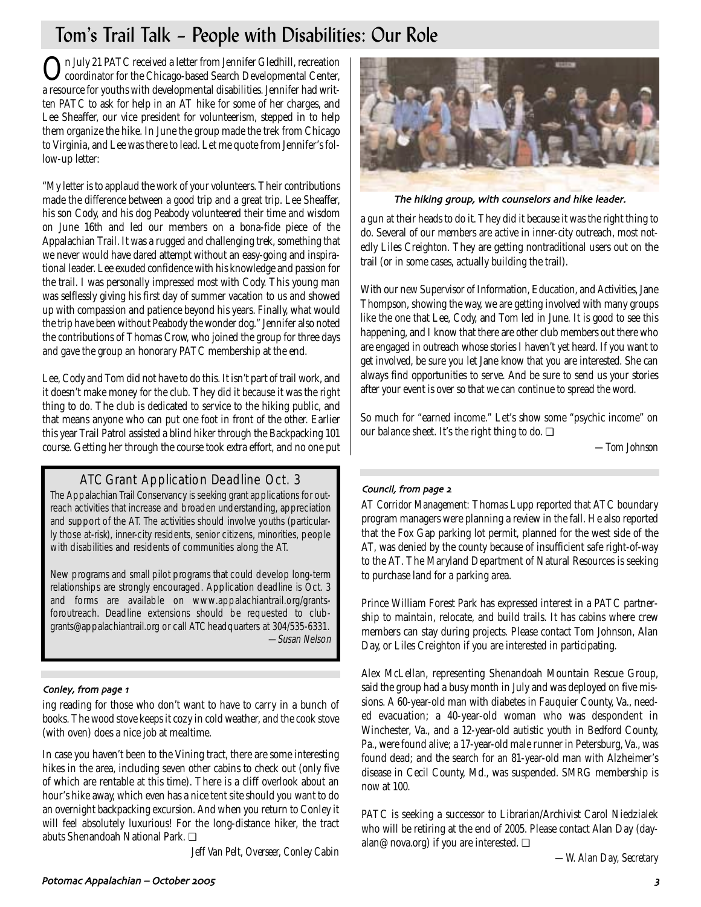# Tom's Trail Talk – People with Disabilities: Our Role

On July 21 PATC received a letter from Jennifer Gledhill, recreation coordinator for the Chicago-based Search Developmental Center, a resource for youths with developmental disabilities. Jennifer had written PATC to ask for help in an AT hike for some of her charges, and Lee Sheaffer, our vice president for volunteerism, stepped in to help them organize the hike. In June the group made the trek from Chicago to Virginia, and Lee was there to lead. Let me quote from Jennifer's follow-up letter:

"My letter is to applaud the work of your volunteers. Their contributions made the difference between a good trip and a great trip. Lee Sheaffer, his son Cody, and his dog Peabody volunteered their time and wisdom on June 16th and led our members on a bona-fide piece of the Appalachian Trail. It was a rugged and challenging trek, something that we never would have dared attempt without an easy-going and inspirational leader. Lee exuded confidence with his knowledge and passion for the trail. I was personally impressed most with Cody. This young man was selflessly giving his first day of summer vacation to us and showed up with compassion and patience beyond his years. Finally, what would the trip have been without Peabody the wonder dog." Jennifer also noted the contributions of Thomas Crow, who joined the group for three days and gave the group an honorary PATC membership at the end.

Lee, Cody and Tom did not have to do this. It isn't part of trail work, and it doesn't make money for the club. They did it because it was the right thing to do. The club is dedicated to service to the hiking public, and that means anyone who can put one foot in front of the other. Earlier this year Trail Patrol assisted a blind hiker through the Backpacking 101 course. Getting her through the course took extra effort, and no one put

# ATC Grant Application Deadline Oct. 3

The Appalachian Trail Conservancy is seeking grant applications for outreach activities that increase and broaden understanding, appreciation and support of the AT. The activities should involve youths (particularly those at-risk), inner-city residents, senior citizens, minorities, people with disabilities and residents of communities along the AT.

New programs and small pilot programs that could develop long-term relationships are strongly encouraged. Application deadline is Oct. 3 and forms are available on www.appalachiantrail.org/grantsforoutreach. Deadline extensions should be requested to clubgrants@appalachiantrail.org or call ATC headquarters at 304/535-6331. —Susan Nelson

#### Conley, from page 1

ing reading for those who don't want to have to carry in a bunch of books. The wood stove keeps it cozy in cold weather, and the cook stove (with oven) does a nice job at mealtime.

In case you haven't been to the Vining tract, there are some interesting hikes in the area, including seven other cabins to check out (only five of which are rentable at this time). There is a cliff overlook about an hour's hike away, which even has a nice tent site should you want to do an overnight backpacking excursion. And when you return to Conley it will feel absolutely luxurious! For the long-distance hiker, the tract abuts Shenandoah National Park. ❏

*Jeff Van Pelt, Overseer, Conley Cabin*



The hiking group, with counselors and hike leader.

a gun at their heads to do it. They did it because it was the right thing to do. Several of our members are active in inner-city outreach, most notedly Liles Creighton. They are getting nontraditional users out on the trail (or in some cases, actually building the trail).

With our new Supervisor of Information, Education, and Activities, Jane Thompson, showing the way, we are getting involved with many groups like the one that Lee, Cody, and Tom led in June. It is good to see this happening, and I know that there are other club members out there who are engaged in outreach whose stories I haven't yet heard. If you want to get involved, be sure you let Jane know that you are interested. She can always find opportunities to serve. And be sure to send us your stories after your event is over so that we can continue to spread the word.

So much for "earned income." Let's show some "psychic income" on our balance sheet. It's the right thing to do.  $\Box$ 

*—Tom Johnson*

#### Council, from page 2

*AT Corridor Management:* Thomas Lupp reported that ATC boundary program managers were planning a review in the fall. He also reported that the Fox Gap parking lot permit, planned for the west side of the AT, was denied by the county because of insufficient safe right-of-way to the AT. The Maryland Department of Natural Resources is seeking to purchase land for a parking area.

Prince William Forest Park has expressed interest in a PATC partnership to maintain, relocate, and build trails. It has cabins where crew members can stay during projects. Please contact Tom Johnson, Alan Day, or Liles Creighton if you are interested in participating.

Alex McLellan, representing Shenandoah Mountain Rescue Group, said the group had a busy month in July and was deployed on five missions. A 60-year-old man with diabetes in Fauquier County, Va., needed evacuation; a 40-year-old woman who was despondent in Winchester, Va., and a 12-year-old autistic youth in Bedford County, Pa., were found alive; a 17-year-old male runner in Petersburg, Va., was found dead; and the search for an 81-year-old man with Alzheimer's disease in Cecil County, Md., was suspended. SMRG membership is now at 100.

PATC is seeking a successor to Librarian/Archivist Carol Niedzialek who will be retiring at the end of 2005. Please contact Alan Day (dayalan@nova.org) if you are interested. ❏

*—W. Alan Day, Secretary*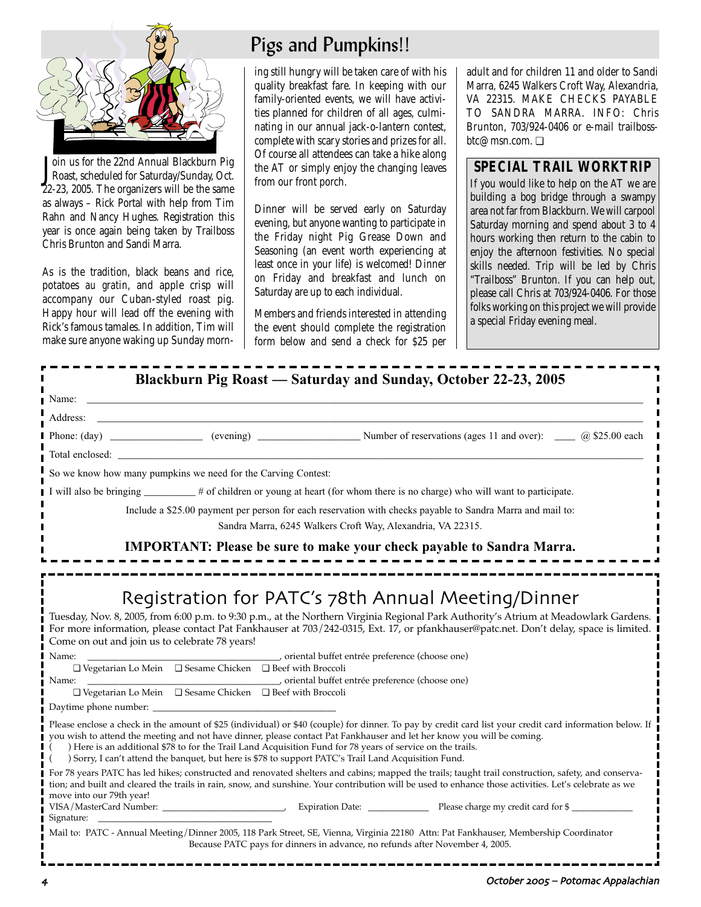

Join us for the 22nd Annual Blackburn Pig<br>Roast, scheduled for Saturday/Sunday, Oct. oin us for the 22nd Annual Blackburn Pig 22-23, 2005. The organizers will be the same as always – Rick Portal with help from Tim Rahn and Nancy Hughes. Registration this year is once again being taken by Trailboss Chris Brunton and Sandi Marra.

As is the tradition, black beans and rice, potatoes *au gratin*, and apple crisp will accompany our Cuban-styled roast pig. Happy hour will lead off the evening with Rick's famous tamales. In addition, Tim will make sure anyone waking up Sunday morn-

# Pigs and Pumpkins!!

ing still hungry will be taken care of with his quality breakfast fare. In keeping with our family-oriented events, we will have activities planned for children of all ages, culminating in our annual jack-o-lantern contest, complete with scary stories and prizes for all. Of course all attendees can take a hike along the AT or simply enjoy the changing leaves from our front porch.

Dinner will be served early on Saturday evening, but anyone wanting to participate in the Friday night Pig Grease Down and Seasoning (an event worth experiencing at least once in your life) is welcomed! Dinner on Friday and breakfast and lunch on Saturday are up to each individual.

Members and friends interested in attending the event should complete the registration form below and send a check for \$25 per adult and for children 11 and older to Sandi Marra, 6245 Walkers Croft Way, Alexandria, VA 22315. MAKE CHECKS PAYABLE TO SANDRA MARRA. INFO: Chris Brunton, 703/924-0406 or e-mail trailbossbtc@msn.com. ❏

# **SPECIAL TRAIL WORKTRIP**

If you would like to help on the AT we are building a bog bridge through a swampy area not far from Blackburn. We will carpool Saturday morning and spend about 3 to 4 hours working then return to the cabin to enjoy the afternoon festivities. No special skills needed. Trip will be led by Chris "Trailboss" Brunton. If you can help out, please call Chris at 703/924-0406. For those folks working on this project we will provide a special Friday evening meal.

| Blackburn Pig Roast — Saturday and Sunday, October 22-23, 2005 |  |  |  |
|----------------------------------------------------------------|--|--|--|
|----------------------------------------------------------------|--|--|--|

| $\blacksquare$ Name:                                                               |                                                                                                                                                                                                                                                                                                                                     |
|------------------------------------------------------------------------------------|-------------------------------------------------------------------------------------------------------------------------------------------------------------------------------------------------------------------------------------------------------------------------------------------------------------------------------------|
| Address:                                                                           |                                                                                                                                                                                                                                                                                                                                     |
|                                                                                    |                                                                                                                                                                                                                                                                                                                                     |
|                                                                                    |                                                                                                                                                                                                                                                                                                                                     |
| So we know how many pumpkins we need for the Carving Contest:                      |                                                                                                                                                                                                                                                                                                                                     |
|                                                                                    | I will also be bringing _________# of children or young at heart (for whom there is no charge) who will want to participate.                                                                                                                                                                                                        |
|                                                                                    | Include a \$25.00 payment per person for each reservation with checks payable to Sandra Marra and mail to:<br>Sandra Marra, 6245 Walkers Croft Way, Alexandria, VA 22315.                                                                                                                                                           |
|                                                                                    | <b>IMPORTANT:</b> Please be sure to make your check payable to Sandra Marra.                                                                                                                                                                                                                                                        |
| Come on out and join us to celebrate 78 years!                                     | Registration for PATC's 78th Annual Meeting/Dinner<br>Tuesday, Nov. 8, 2005, from 6:00 p.m. to 9:30 p.m., at the Northern Virginia Regional Park Authority's Atrium at Meadowlark Gardens.<br>For more information, please contact Pat Fankhauser at 703/242-0315, Ext. 17, or pfankhauser@patc.net. Don't delay, space is limited. |
| l Name:                                                                            | criental buffet entrée preference (choose one)                                                                                                                                                                                                                                                                                      |
| $\Box$ Vegetarian Lo Mein $\Box$ Sesame Chicken $\Box$ Beef with Broccoli<br>Name: |                                                                                                                                                                                                                                                                                                                                     |
|                                                                                    |                                                                                                                                                                                                                                                                                                                                     |

Daytime phone number:

Please enclose a check in the amount of \$25 (individual) or \$40 (couple) for dinner. To pay by credit card list your credit card information below. If you wish to attend the meeting and not have dinner, please contact Pat Fankhauser and let her know you will be coming.

) Here is an additional \$78 to for the Trail Land Acquisition Fund for 78 years of service on the trails.

( ) Sorry, I can't attend the banquet, but here is \$78 to support PATC's Trail Land Acquisition Fund.

| For 78 years PATC has led hikes; constructed and renovated shelters and cabins; mapped the trails; taught trail construction, safety, and conserva-   |                  |                                     |
|-------------------------------------------------------------------------------------------------------------------------------------------------------|------------------|-------------------------------------|
| tion; and built and cleared the trails in rain, snow, and sunshine. Your contribution will be used to enhance those activities. Let's celebrate as we |                  |                                     |
| move into our 79th year!                                                                                                                              |                  |                                     |
| VISA/MasterCard Number:                                                                                                                               | Expiration Date: | Please charge my credit card for \$ |
| Signature:                                                                                                                                            |                  |                                     |

Mail to: PATC - Annual Meeting/Dinner 2005, 118 Park Street, SE, Vienna, Virginia 22180 Attn: Pat Fankhauser, Membership Coordinator Because PATC pays for dinners in advance, no refunds after November 4, 2005.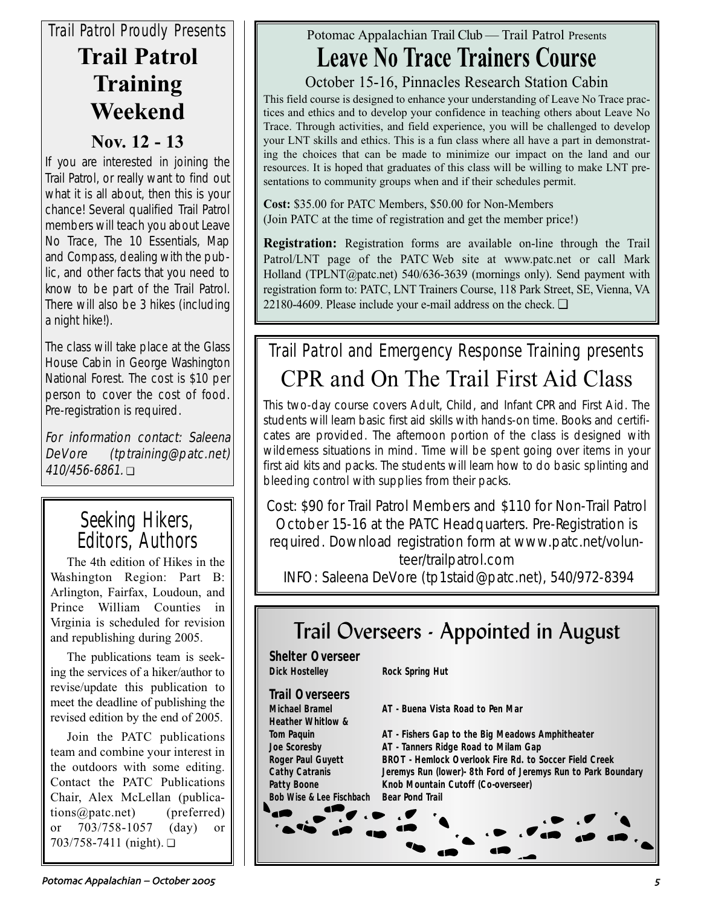# *Trail Patrol Proudly Presents* **Trail Patrol Training Weekend**

# **Nov. 12 - 13**

If you are interested in joining the Trail Patrol, or really want to find out what it is all about, then this is your chance! Several qualified Trail Patrol members will teach you about Leave No Trace, The 10 Essentials, Map and Compass, dealing with the public, and other facts that you need to know to be part of the Trail Patrol. There will also be 3 hikes (including a night hike!).

The class will take place at the Glass House Cabin in George Washington National Forest. The cost is \$10 per person to cover the cost of food. Pre-registration is required.

For information contact: Saleena DeVore (tptraining@patc.net) 410/456-6861. ❏

# Seeking Hikers, Editors, Authors

The 4th edition of Hikes in the Washington Region: Part B: Arlington, Fairfax, Loudoun, and Prince William Counties in Virginia is scheduled for revision and republishing during 2005.

The publications team is seeking the services of a hiker/author to revise/update this publication to meet the deadline of publishing the revised edition by the end of 2005.

Join the PATC publications team and combine your interest in the outdoors with some editing. Contact the PATC Publications Chair, Alex McLellan (publications@patc.net) (preferred) or 703/758-1057 (day) or 703/758-7411 (night). ❏

# Potomac Appalachian Trail Club — Trail Patrol Presents

# **Leave No Trace Trainers Course**

October 15-16, Pinnacles Research Station Cabin

This field course is designed to enhance your understanding of Leave No Trace practices and ethics and to develop your confidence in teaching others about Leave No Trace. Through activities, and field experience, you will be challenged to develop your LNT skills and ethics. This is a fun class where all have a part in demonstrating the choices that can be made to minimize our impact on the land and our resources. It is hoped that graduates of this class will be willing to make LNT presentations to community groups when and if their schedules permit.

**Cost:** \$35.00 for PATC Members, \$50.00 for Non-Members (Join PATC at the time of registration and get the member price!)

**Registration:** Registration forms are available on-line through the Trail Patrol/LNT page of the PATC Web site at www.patc.net or call Mark Holland (TPLNT@patc.net) 540/636-3639 (mornings only). Send payment with registration form to: PATC, LNT Trainers Course, 118 Park Street, SE, Vienna, VA 22180-4609. Please include your e-mail address on the check. ❏

# Trail Patrol and Emergency Response Training presents CPR and On The Trail First Aid Class

This two-day course covers Adult, Child, and Infant CPR and First Aid. The students will learn basic first aid skills with hands-on time. Books and certificates are provided. The afternoon portion of the class is designed with wilderness situations in mind. Time will be spent going over items in your first aid kits and packs. The students will learn how to do basic splinting and bleeding control with supplies from their packs.

Cost: \$90 for Trail Patrol Members and \$110 for Non-Trail Patrol October 15-16 at the PATC Headquarters. Pre-Registration is required. Download registration form at www.patc.net/volunteer/trailpatrol.com

INFO: Saleena DeVore (tp1staid@patc.net), 540/972-8394

# Trail Overseers - Appointed in August

| <b>Shelter Overseer</b>             |                                                               |
|-------------------------------------|---------------------------------------------------------------|
| <b>Dick Hostelley</b>               | <b>Rock Spring Hut</b>                                        |
| <b>Trail Overseers</b>              |                                                               |
| <b>Michael Bramel</b>               | AT - Buena Vista Road to Pen Mar                              |
| <b>Heather Whitlow &amp;</b>        |                                                               |
| <b>Tom Paquin</b>                   | AT - Fishers Gap to the Big Meadows Amphitheater              |
| <b>Joe Scoresby</b>                 | AT - Tanners Ridge Road to Milam Gap                          |
| <b>Roger Paul Guyett</b>            | <b>BROT</b> - Hemlock Overlook Fire Rd. to Soccer Field Creek |
| <b>Cathy Catranis</b>               | Jeremys Run (lower) 8th Ford of Jeremys Run to Park Boundary  |
| <b>Patty Boone</b>                  | Knob Mountain Cutoff (Co-overseer)                            |
| <b>Bob Wise &amp; Lee Fischbach</b> | <b>Bear Pond Trail</b>                                        |
|                                     | $\mathbf{r} \in \mathbb{R}$                                   |

Potomac Appalachian – October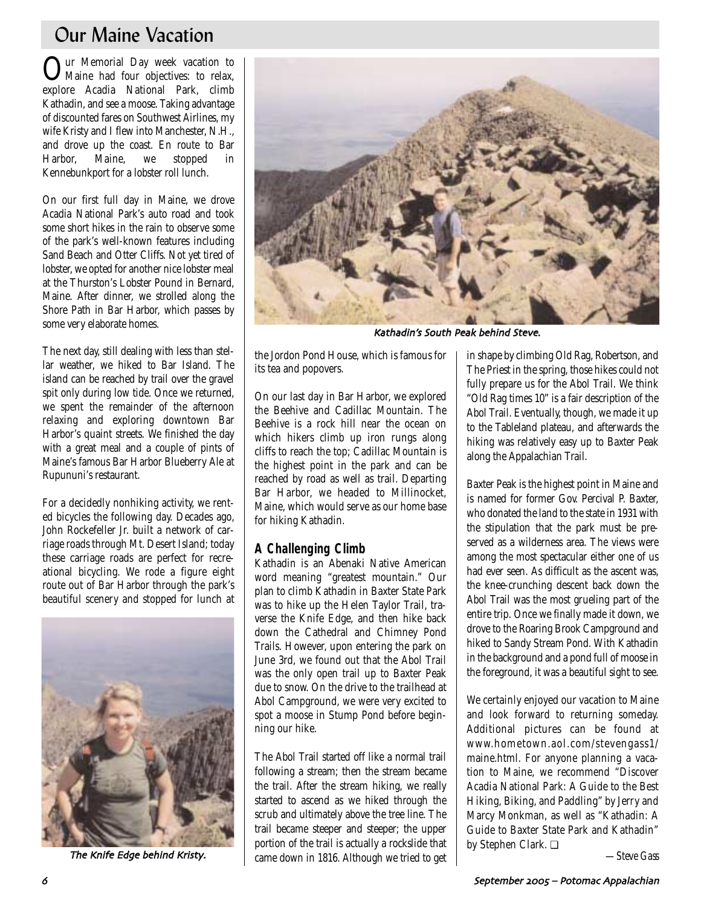# Our Maine Vacation

Our Memorial Day week vacation to Maine had four objectives: to relax, explore Acadia National Park, climb Kathadin, and see a moose. Taking advantage of discounted fares on Southwest Airlines, my wife Kristy and I flew into Manchester, N.H., and drove up the coast. En route to Bar Harbor, Maine, we stopped in Kennebunkport for a lobster roll lunch.

On our first full day in Maine, we drove Acadia National Park's auto road and took some short hikes in the rain to observe some of the park's well-known features including Sand Beach and Otter Cliffs. Not yet tired of lobster, we opted for another nice lobster meal at the Thurston's Lobster Pound in Bernard, Maine. After dinner, we strolled along the Shore Path in Bar Harbor, which passes by some very elaborate homes.

The next day, still dealing with less than stellar weather, we hiked to Bar Island. The island can be reached by trail over the gravel spit only during low tide. Once we returned, we spent the remainder of the afternoon relaxing and exploring downtown Bar Harbor's quaint streets. We finished the day with a great meal and a couple of pints of Maine's famous Bar Harbor Blueberry Ale at Rupununi's restaurant.

For a decidedly nonhiking activity, we rented bicycles the following day. Decades ago, John Rockefeller Jr. built a network of carriage roads through Mt. Desert Island; today these carriage roads are perfect for recreational bicycling. We rode a figure eight route out of Bar Harbor through the park's beautiful scenery and stopped for lunch at



The Knife Edge behind Kristy



Kathadin's South Peak behind Steve

the Jordon Pond House, which is famous for its tea and popovers.

On our last day in Bar Harbor, we explored the Beehive and Cadillac Mountain. The Beehive is a rock hill near the ocean on which hikers climb up iron rungs along cliffs to reach the top; Cadillac Mountain is the highest point in the park and can be reached by road as well as trail. Departing Bar Harbor, we headed to Millinocket, Maine, which would serve as our home base for hiking Kathadin.

## **A Challenging Climb**

Kathadin is an Abenaki Native American word meaning "greatest mountain." Our plan to climb Kathadin in Baxter State Park was to hike up the Helen Taylor Trail, traverse the Knife Edge, and then hike back down the Cathedral and Chimney Pond Trails. However, upon entering the park on June 3rd, we found out that the Abol Trail was the only open trail up to Baxter Peak due to snow. On the drive to the trailhead at Abol Campground, we were very excited to spot a moose in Stump Pond before beginning our hike.

The Abol Trail started off like a normal trail following a stream; then the stream became the trail. After the stream hiking, we really started to ascend as we hiked through the scrub and ultimately above the tree line. The trail became steeper and steeper; the upper portion of the trail is actually a rockslide that came down in 1816. Although we tried to get in shape by climbing Old Rag, Robertson, and The Priest in the spring, those hikes could not fully prepare us for the Abol Trail. We think "Old Rag times 10" is a fair description of the Abol Trail. Eventually, though, we made it up to the Tableland plateau, and afterwards the hiking was relatively easy up to Baxter Peak along the Appalachian Trail.

Baxter Peak is the highest point in Maine and is named for former Gov. Percival P. Baxter, who donated the land to the state in 1931 with the stipulation that the park must be preserved as a wilderness area. The views were among the most spectacular either one of us had ever seen. As difficult as the ascent was, the knee-crunching descent back down the Abol Trail was the most grueling part of the entire trip. Once we finally made it down, we drove to the Roaring Brook Campground and hiked to Sandy Stream Pond. With Kathadin in the background and a pond full of moose in the foreground, it was a beautiful sight to see.

We certainly enjoyed our vacation to Maine and look forward to returning someday. Additional pictures can be found at www.hometown.aol.com/stevengass1/ maine.html. For anyone planning a vacation to Maine, we recommend "Discover Acadia National Park: A Guide to the Best Hiking, Biking, and Paddling" by Jerry and Marcy Monkman, as well as "Kathadin: A Guide to Baxter State Park and Kathadin" by Stephen Clark. ❏

*—Steve Gass*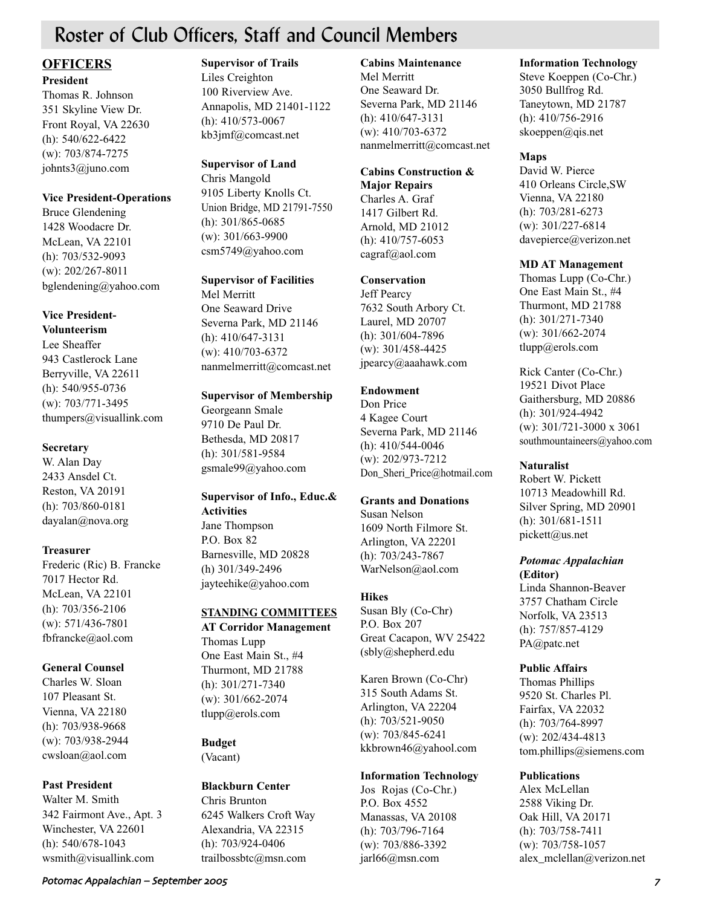# Roster of Club Officers, Staff and Council Members

### **OFFICERS President**

Thomas R. Johnson 351 Skyline View Dr. Front Royal, VA 22630 (h): 540/622-6422 (w): 703/874-7275 johnts3@juno.com

#### **Vice President-Operations**

Bruce Glendening 1428 Woodacre Dr. McLean, VA 22101 (h): 703/532-9093 (w): 202/267-8011 bglendening@yahoo.com

## **Vice President-**

**Volunteerism** Lee Sheaffer 943 Castlerock Lane Berryville, VA 22611 (h): 540/955-0736 (w): 703/771-3495 thumpers@visuallink.com

#### **Secretary**

W. Alan Day 2433 Ansdel Ct. Reston, VA 20191 (h): 703/860-0181 dayalan@nova.org

#### **Treasurer**

Frederic (Ric) B. Francke 7017 Hector Rd. McLean, VA 22101 (h): 703/356-2106 (w): 571/436-7801 fbfrancke@aol.com

#### **General Counsel**

Charles W. Sloan 107 Pleasant St. Vienna, VA 22180 (h): 703/938-9668 (w): 703/938-2944 cwsloan@aol.com

#### **Past President**

Walter M. Smith 342 Fairmont Ave., Apt. 3 Winchester, VA 22601 (h): 540/678-1043 wsmith@visuallink.com

#### **Supervisor of Trails**

Liles Creighton 100 Riverview Ave. Annapolis, MD 21401-1122 (h): 410/573-0067 kb3jmf@comcast.net

### **Supervisor of Land**

Chris Mangold 9105 Liberty Knolls Ct. Union Bridge, MD 21791-7550 (h): 301/865-0685 (w): 301/663-9900 csm5749@yahoo.com

#### **Supervisor of Facilities**

Mel Merritt One Seaward Drive Severna Park, MD 21146 (h): 410/647-3131 (w): 410/703-6372 nanmelmerritt@comcast.net

#### **Supervisor of Membership**

Georgeann Smale 9710 De Paul Dr. Bethesda, MD 20817 (h): 301/581-9584 gsmale99@yahoo.com

# **Supervisor of Info., Educ.& Activities**

Jane Thompson P.O. Box 82 Barnesville, MD 20828 (h) 301/349-2496 jayteehike@yahoo.com

## **STANDING COMMITTEES**

**AT Corridor Management** Thomas Lupp One East Main St., #4 Thurmont, MD 21788 (h): 301/271-7340 (w): 301/662-2074 tlupp@erols.com

# **Budget**

(Vacant)

#### **Blackburn Center**

Chris Brunton 6245 Walkers Croft Way Alexandria, VA 22315 (h): 703/924-0406 trailbossbtc@msn.com

#### **Cabins Maintenance**

Mel Merritt One Seaward Dr. Severna Park, MD 21146 (h): 410/647-3131 (w): 410/703-6372 nanmelmerritt@comcast.net

# **Cabins Construction &**

**Major Repairs** Charles A. Graf 1417 Gilbert Rd. Arnold, MD 21012 (h): 410/757-6053 cagraf@aol.com

#### **Conservation**

Jeff Pearcy 7632 South Arbory Ct. Laurel, MD 20707 (h): 301/604-7896 (w): 301/458-4425 jpearcy@aaahawk.com

#### **Endowment**

Don Price 4 Kagee Court Severna Park, MD 21146 (h): 410/544-0046 (w): 202/973-7212 Don\_Sheri\_Price@hotmail.com

#### **Grants and Donations**

Susan Nelson 1609 North Filmore St. Arlington, VA 22201 (h): 703/243-7867 WarNelson@aol.com

#### **Hikes**

Susan Bly (Co-Chr) P.O. Box 207 Great Cacapon, WV 25422 (sbly@shepherd.edu

Karen Brown (Co-Chr) 315 South Adams St. Arlington, VA 22204 (h): 703/521-9050 (w): 703/845-6241 kkbrown46@yahool.com

#### **Information Technology**

Jos Rojas (Co-Chr.) P.O. Box 4552 Manassas, VA 20108 (h): 703/796-7164 (w): 703/886-3392 jarl66@msn.com

#### **Information Technology**

Steve Koeppen (Co-Chr.) 3050 Bullfrog Rd. Taneytown, MD 21787 (h): 410/756-2916 skoeppen@qis.net

### **Maps**

David W. Pierce 410 Orleans Circle,SW Vienna, VA 22180 (h): 703/281-6273 (w): 301/227-6814 davepierce@verizon.net

#### **MD AT Management**

Thomas Lupp (Co-Chr.) One East Main St., #4 Thurmont, MD 21788 (h): 301/271-7340 (w): 301/662-2074 tlupp@erols.com

Rick Canter (Co-Chr.) 19521 Divot Place Gaithersburg, MD 20886 (h): 301/924-4942 (w): 301/721-3000 x 3061 southmountaineers@yahoo.com

#### **Naturalist**

Robert W. Pickett 10713 Meadowhill Rd. Silver Spring, MD 20901 (h): 301/681-1511 pickett@us.net

#### *Potomac Appalachian* **(Editor)**

Linda Shannon-Beaver 3757 Chatham Circle Norfolk, VA 23513 (h): 757/857-4129 PA@patc.net

#### **Public Affairs**

Thomas Phillips 9520 St. Charles Pl. Fairfax, VA 22032 (h): 703/764-8997 (w): 202/434-4813 tom.phillips@siemens.com

### **Publications**

Alex McLellan 2588 Viking Dr. Oak Hill, VA 20171 (h): 703/758-7411 (w): 703/758-1057 alex\_mclellan@verizon.net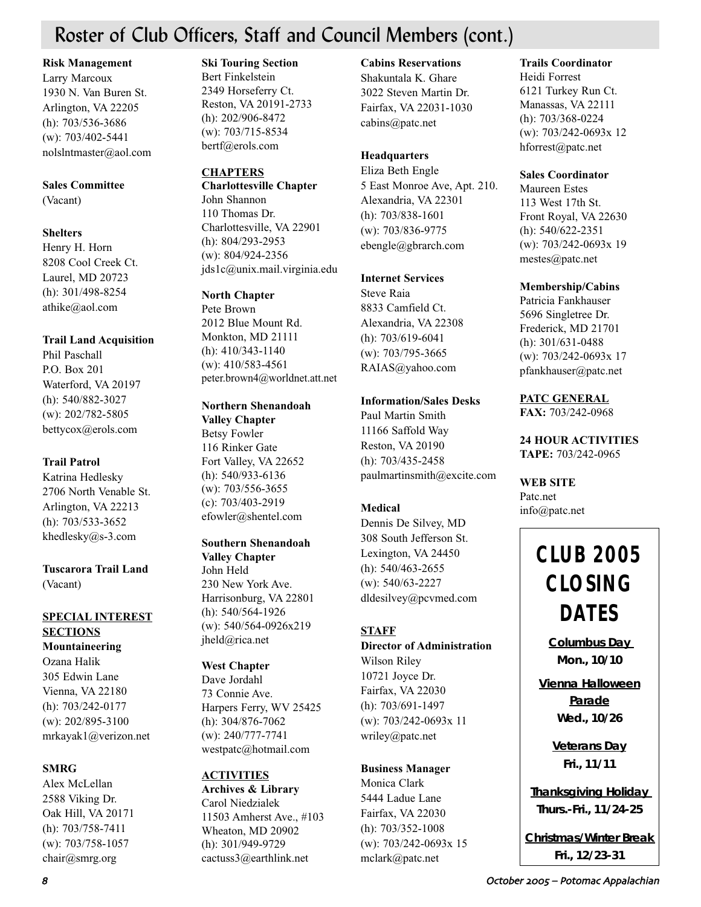# Roster of Club Officers, Staff and Council Members (cont.)

**Risk Management**

Larry Marcoux 1930 N. Van Buren St. Arlington, VA 22205 (h): 703/536-3686 (w): 703/402-5441 nolslntmaster@aol.com

### **Sales Committee**

(Vacant)

### **Shelters**

Henry H. Horn 8208 Cool Creek Ct. Laurel, MD 20723 (h): 301/498-8254 athike@aol.com

## **Trail Land Acquisition**

Phil Paschall P.O. Box 201 Waterford, VA 20197 (h): 540/882-3027 (w): 202/782-5805 bettycox@erols.com

## **Trail Patrol**

Katrina Hedlesky 2706 North Venable St. Arlington, VA 22213 (h): 703/533-3652 khedlesky@s-3.com

**Tuscarora Trail Land** (Vacant)

# **SPECIAL INTEREST SECTIONS**

**Mountaineering**  Ozana Halik 305 Edwin Lane Vienna, VA 22180 (h): 703/242-0177 (w): 202/895-3100 mrkayak1@verizon.net

## **SMRG**

Alex McLellan 2588 Viking Dr. Oak Hill, VA 20171 (h): 703/758-7411 (w): 703/758-1057 chair@smrg.org

#### **Ski Touring Section**

Bert Finkelstein 2349 Horseferry Ct. Reston, VA 20191-2733 (h): 202/906-8472 (w): 703/715-8534 bertf@erols.com

### **CHAPTERS**

**Charlottesville Chapter** John Shannon 110 Thomas Dr. Charlottesville, VA 22901 (h): 804/293-2953 (w): 804/924-2356 jds1c@unix.mail.virginia.edu

#### **North Chapter**

Pete Brown 2012 Blue Mount Rd. Monkton, MD 21111 (h): 410/343-1140 (w): 410/583-4561 peter.brown4@worldnet.att.net

### **Northern Shenandoah**

**Valley Chapter** Betsy Fowler 116 Rinker Gate Fort Valley, VA 22652 (h): 540/933-6136 (w): 703/556-3655 (c): 703/403-2919 efowler@shentel.com

#### **Southern Shenandoah Valley Chapter** John Held 230 New York Ave. Harrisonburg, VA 22801

(h): 540/564-1926 (w): 540/564-0926x219 jheld@rica.net

## **West Chapter**

Dave Jordahl 73 Connie Ave. Harpers Ferry, WV 25425 (h): 304/876-7062 (w): 240/777-7741 westpatc@hotmail.com

# **ACTIVITIES**

**Archives & Library** Carol Niedzialek 11503 Amherst Ave., #103 Wheaton, MD 20902 (h): 301/949-9729 cactuss3@earthlink.net

### **Cabins Reservations**

Shakuntala K. Ghare 3022 Steven Martin Dr. Fairfax, VA 22031-1030 cabins@patc.net

### **Headquarters**

Eliza Beth Engle 5 East Monroe Ave, Apt. 210. Alexandria, VA 22301 (h): 703/838-1601 (w): 703/836-9775 ebengle@gbrarch.com

### **Internet Services**

Steve Raia 8833 Camfield Ct. Alexandria, VA 22308 (h): 703/619-6041 (w): 703/795-3665 RAIAS@yahoo.com

### **Information/Sales Desks**

Paul Martin Smith 11166 Saffold Way Reston, VA 20190 (h): 703/435-2458 paulmartinsmith@excite.com

## **Medical**

Dennis De Silvey, MD 308 South Jefferson St. Lexington, VA 24450 (h): 540/463-2655 (w): 540/63-2227 dldesilvey@pcvmed.com

## **STAFF**

#### **Director of Administration** Wilson Riley

10721 Joyce Dr. Fairfax, VA 22030 (h): 703/691-1497 (w): 703/242-0693x 11 wriley@patc.net

## **Business Manager**

Monica Clark 5444 Ladue Lane Fairfax, VA 22030 (h): 703/352-1008 (w): 703/242-0693x 15 mclark@patc.net

#### **Trails Coordinator**

Heidi Forrest 6121 Turkey Run Ct. Manassas, VA 22111 (h): 703/368-0224 (w): 703/242-0693x 12 hforrest@patc.net

#### **Sales Coordinator**

Maureen Estes 113 West 17th St. Front Royal, VA 22630 (h): 540/622-2351 (w): 703/242-0693x 19 mestes@patc.net

#### **Membership/Cabins**

Patricia Fankhauser 5696 Singletree Dr. Frederick, MD 21701 (h): 301/631-0488 (w): 703/242-0693x 17 pfankhauser@patc.net

**PATC GENERAL FAX:** 703/242-0968

**24 HOUR ACTIVITIES TAPE:** 703/242-0965

**WEB SITE** Patc.net info@patc.net

# **CLUB 2005 CLOSING DATES**

*Columbus Day Mon., 10/10*

*Vienna Halloween Parade Wed., 10/26*

> *Veterans Day Fri., 11/11*

*Thanksgiving Holiday Thurs.-Fri., 11/24-25*

*Christmas/Winter Break Fri., 12/23-31*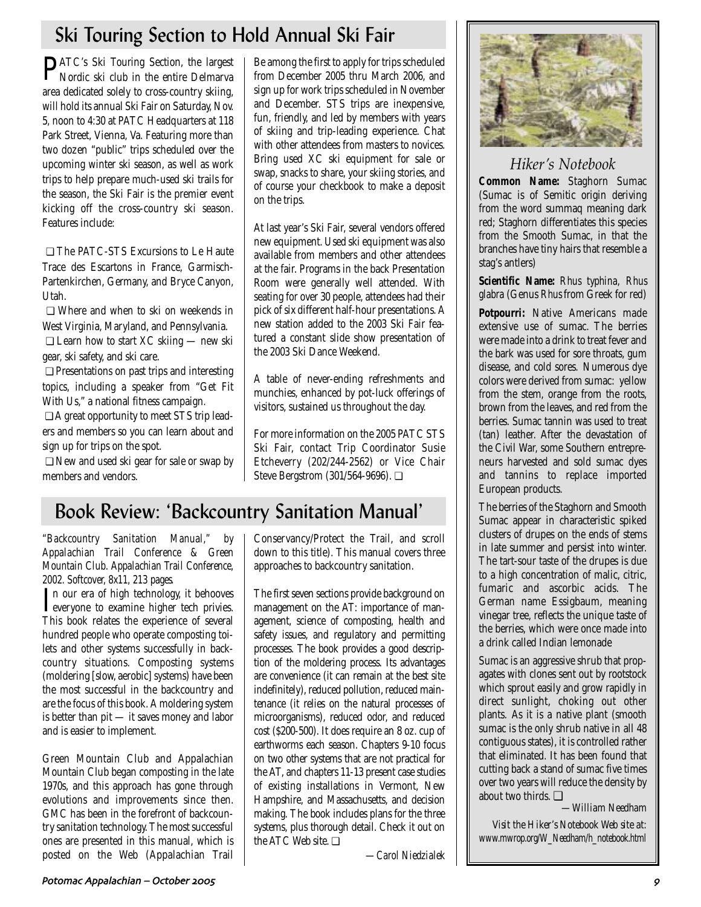# Ski Touring Section to Hold Annual Ski Fair

PATC's Ski Touring Section, the largest Nordic ski club in the entire Delmarva area dedicated solely to cross-country skiing, will hold its annual Ski Fair on Saturday, Nov. 5, noon to 4:30 at PATC Headquarters at 118 Park Street, Vienna, Va. Featuring more than two dozen "public" trips scheduled over the upcoming winter ski season, as well as work trips to help prepare much-used ski trails for the season, the Ski Fair is the premier event kicking off the cross-country ski season. Features include:

❏ The PATC-STS Excursions to Le Haute Trace des Escartons in France, Garmisch-Partenkirchen, Germany, and Bryce Canyon, Utah.

❏ Where and when to ski on weekends in West Virginia, Maryland, and Pennsylvania. ❏ Learn how to start XC skiing — new ski gear, ski safety, and ski care.

❏ Presentations on past trips and interesting topics, including a speaker from "Get Fit With Us," a national fitness campaign.

❏ A great opportunity to meet STS trip leaders and members so you can learn about and sign up for trips on the spot.

❏ New and used ski gear for sale or swap by members and vendors.

Be among the first to apply for trips scheduled from December 2005 thru March 2006, and sign up for work trips scheduled in November and December. STS trips are inexpensive, fun, friendly, and led by members with years of skiing and trip-leading experience. Chat with other attendees from masters to novices. Bring used XC ski equipment for sale or swap, snacks to share, your skiing stories, and of course your checkbook to make a deposit on the trips.

At last year's Ski Fair, several vendors offered new equipment. Used ski equipment was also available from members and other attendees at the fair. Programs in the back Presentation Room were generally well attended. With seating for over 30 people, attendees had their pick of six different half-hour presentations. A new station added to the 2003 Ski Fair featured a constant slide show presentation of the 2003 Ski Dance Weekend.

A table of never-ending refreshments and munchies, enhanced by pot-luck offerings of visitors, sustained us throughout the day.

For more information on the 2005 PATC STS Ski Fair, contact Trip Coordinator Susie Etcheverry (202/244-2562) or Vice Chair Steve Bergstrom (301/564-9696). ❏

# Book Review: 'Backcountry Sanitation Manual'

*"Backcountry Sanitation Manual," by Appalachian Trail Conference & Green Mountain Club. Appalachian Trail Conference, 2002. Softcover, 8x11, 213 pages.*

In our era of high technology, it behooves<br>everyone to examine higher tech privies. n our era of high technology, it behooves This book relates the experience of several hundred people who operate composting toilets and other systems successfully in backcountry situations. Composting systems (moldering [slow, aerobic] systems) have been the most successful in the backcountry and are the focus of this book. A moldering system is better than pit — it saves money and labor and is easier to implement.

Green Mountain Club and Appalachian Mountain Club began composting in the late 1970s, and this approach has gone through evolutions and improvements since then. GMC has been in the forefront of backcountry sanitation technology. The most successful ones are presented in this manual, which is posted on the Web (Appalachian Trail

Conservancy/Protect the Trail, and scroll down to this title). This manual covers three approaches to backcountry sanitation.

The first seven sections provide background on management on the AT: importance of management, science of composting, health and safety issues, and regulatory and permitting processes. The book provides a good description of the moldering process. Its advantages are convenience (it can remain at the best site indefinitely), reduced pollution, reduced maintenance (it relies on the natural processes of microorganisms), reduced odor, and reduced cost (\$200-500). It does require an 8 oz. cup of earthworms each season. Chapters 9-10 focus on two other systems that are not practical for the AT, and chapters 11-13 present case studies of existing installations in Vermont, New Hampshire, and Massachusetts, and decision making. The book includes plans for the three systems, plus thorough detail. Check it out on the ATC Web site. ❏

*—Carol Niedzialek*



# *Hiker's Notebook*

**Common Name:** Staghorn Sumac (Sumac is of Semitic origin deriving from the word summaq meaning dark red; Staghorn differentiates this species from the Smooth Sumac, in that the branches have tiny hairs that resemble a stag's antlers)

**Scientific Name:** *Rhus typhina, Rhus glabra* (Genus *Rhus* from Greek for red)

**Potpourri:** Native Americans made extensive use of sumac. The berries were made into a drink to treat fever and the bark was used for sore throats, gum disease, and cold sores. Numerous dye colors were derived from sumac: yellow from the stem, orange from the roots, brown from the leaves, and red from the berries. Sumac tannin was used to treat (tan) leather. After the devastation of the Civil War, some Southern entrepreneurs harvested and sold sumac dyes and tannins to replace imported European products.

The berries of the Staghorn and Smooth Sumac appear in characteristic spiked clusters of drupes on the ends of stems in late summer and persist into winter. The tart-sour taste of the drupes is due to a high concentration of malic, citric, fumaric and ascorbic acids. The German name Essigbaum, meaning vinegar tree, reflects the unique taste of the berries, which were once made into a drink called Indian lemonade

Sumac is an aggressive shrub that propagates with clones sent out by rootstock which sprout easily and grow rapidly in direct sunlight, choking out other plants. As it is a native plant (smooth sumac is the only shrub native in all 48 contiguous states), it is controlled rather that eliminated. It has been found that cutting back a stand of sumac five times over two years will reduce the density by about two thirds. ❏

*—William Needham*

*Visit the Hiker's Notebook Web site at: www.mwrop.org/W\_Needham/h\_notebook.html*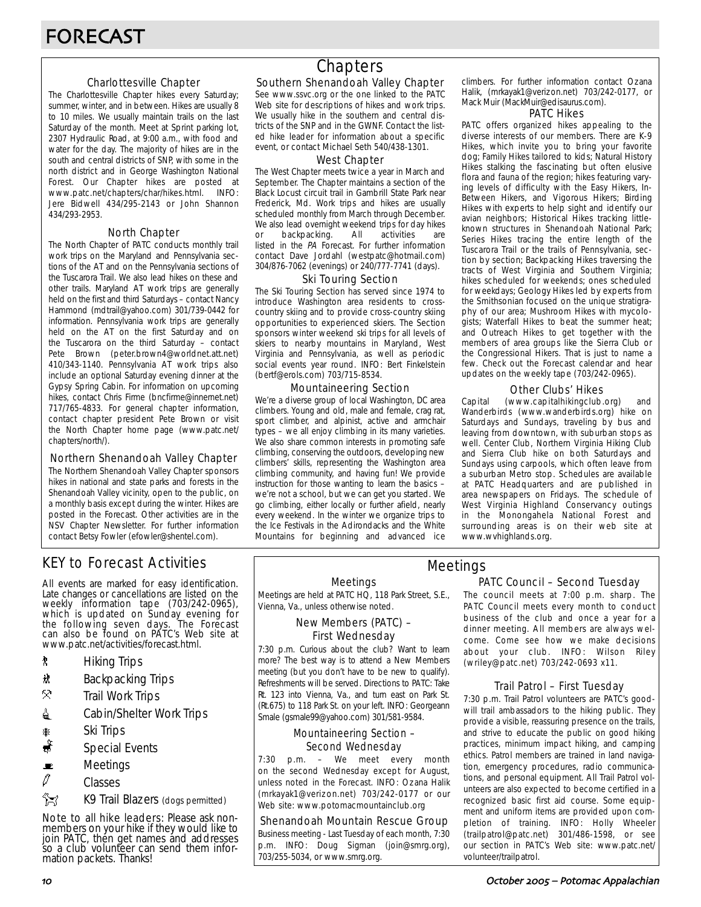#### Charlottesville Chapter

The Charlottesville Chapter hikes every Saturday; summer, winter, and in between. Hikes are usually 8 to 10 miles. We usually maintain trails on the last Saturday of the month. Meet at Sprint parking lot, 2307 Hydraulic Road, at 9:00 a.m., with food and water for the day. The majority of hikes are in the south and central districts of SNP, with some in the north district and in George Washington National Forest. Our Chapter hikes are posted at www.patc.net/chapters/char/hikes.html. INFO: Jere Bidwell 434/295-2143 or John Shannon 434/293-2953.

#### North Chapter

The North Chapter of PATC conducts monthly trail work trips on the Maryland and Pennsylvania sections of the AT and on the Pennsylvania sections of the Tuscarora Trail. We also lead hikes on these and other trails. Maryland AT work trips are generally held on the first and third Saturdays – contact Nancy Hammond (mdtrail@yahoo.com) 301/739-0442 for information. Pennsylvania work trips are generally held on the AT on the first Saturday and on the Tuscarora on the third Saturday – contact Pete Brown (peter.brown4@worldnet.att.net) 410/343-1140. Pennsylvania AT work trips also include an optional Saturday evening dinner at the Gypsy Spring Cabin. For information on upcoming hikes, contact Chris Firme (bncfirme@innernet.net) 717/765-4833. For general chapter information, contact chapter president Pete Brown or visit the North Chapter home page (www.patc.net/ chapters/north/).

#### Northern Shenandoah Valley Chapter

The Northern Shenandoah Valley Chapter sponsors hikes in national and state parks and forests in the Shenandoah Valley vicinity, open to the public, on a monthly basis except during the winter. Hikes are posted in the Forecast. Other activities are in the NSV Chapter Newsletter. For further information contact Betsy Fowler (efowler@shentel.com).

# KEY to Forecast Activities

All events are marked for easy identification. Late changes or cancellations are listed on the weekly information tape (703/242-0965), which is updated on Sunday evening for the following seven days. The Forecast can also be found on PATC's Web site at www.patc.net/activities/forecast.html.

- **\*** Hiking Trips
- \* Backpacking Trips
- $\mathcal{R}$  Trail Work Trips
- **i** Cabin/Shelter Work Trips
- **A** Ski Trips
- Special Events
- $\blacksquare$  Meetings
- $\varnothing$  Classes
- $\frac{2}{3}$  K9 Trail Blazers (dogs permitted)

Note to all hike leaders: Please ask nonmembers on your hike if they would like to join PATC, then get names and addresses so a club volunteer can send them information packets. Thanks!

# **Chapters**

#### Southern Shenandoah Valley Chapter

See www.ssvc.org or the one linked to the PATC Web site for descriptions of hikes and work trips. We usually hike in the southern and central districts of the SNP and in the GWNF. Contact the listed hike leader for information about a specific event, or contact Michael Seth 540/438-1301.

#### West Chapter

The West Chapter meets twice a year in March and September. The Chapter maintains a section of the Black Locust circuit trail in Gambrill State Park near Frederick, Md. Work trips and hikes are usually scheduled monthly from March through December. We also lead overnight weekend trips for day hikes or backpacking. All activities are listed in the PA Forecast. For further information contact Dave Jordahl (westpatc@hotmail.com) 304/876-7062 (evenings) or 240/777-7741 (days).

#### Ski Touring Section

The Ski Touring Section has served since 1974 to introduce Washington area residents to crosscountry skiing and to provide cross-country skiing opportunities to experienced skiers. The Section sponsors winter weekend ski trips for all levels of skiers to nearby mountains in Maryland, West Virginia and Pennsylvania, as well as periodic social events year round. INFO: Bert Finkelstein (bertf@erols.com) 703/715-8534.

#### Mountaineering Section

We're a diverse group of local Washington, DC area climbers. Young and old, male and female, crag rat, sport climber, and alpinist, active and armchair types – we all enjoy climbing in its many varieties. We also share common interests in promoting safe climbing, conserving the outdoors, developing new climbers' skills, representing the Washington area climbing community, and having fun! We provide instruction for those wanting to learn the basics – we're not a school, but we can get you started. We go climbing, either locally or further afield, nearly every weekend. In the winter we organize trips to the Ice Festivals in the Adirondacks and the White Mountains for beginning and advanced ice

climbers. For further information contact Ozana Halik, (mrkayak1@verizon.net) 703/242-0177, or Mack Muir (MackMuir@edisaurus.com).

#### PATC Hikes

PATC offers organized hikes appealing to the diverse interests of our members. There are K-9 Hikes, which invite you to bring your favorite dog; Family Hikes tailored to kids; Natural History Hikes stalking the fascinating but often elusive flora and fauna of the region; hikes featuring varying levels of difficulty with the Easy Hikers, In-Between Hikers, and Vigorous Hikers; Birding Hikes with experts to help sight and identify our avian neighbors; Historical Hikes tracking littleknown structures in Shenandoah National Park; Series Hikes tracing the entire length of the Tuscarora Trail or the trails of Pennsylvania, section by section; Backpacking Hikes traversing the tracts of West Virginia and Southern Virginia; hikes scheduled for weekends; ones scheduled for weekdays; Geology Hikes led by experts from the Smithsonian focused on the unique stratigraphy of our area; Mushroom Hikes with mycologists; Waterfall Hikes to beat the summer heat; and Outreach Hikes to get together with the members of area groups like the Sierra Club or the Congressional Hikers. That is just to name a few. Check out the Forecast calendar and hear updates on the weekly tape (703/242-0965).

#### Other Clubs' Hikes

Capital (www.capitalhikingclub.org) and Wanderbirds (www.wanderbirds.org) hike on Saturdays and Sundays, traveling by bus and leaving from downtown, with suburban stops as well. Center Club, Northern Virginia Hiking Club and Sierra Club hike on both Saturdays and Sundays using carpools, which often leave from a suburban Metro stop. Schedules are available at PATC Headquarters and are published in area newspapers on Fridays. The schedule of West Virginia Highland Conservancy outings in the Monongahela National Forest and surrounding areas is on their web site at www.wvhighlands.org.

#### Meetings

Meetings are held at PATC HQ, 118 Park Street, S.E., Vienna, Va., unless otherwise noted.

#### New Members (PATC) – First Wednesday

7:30 p.m. Curious about the club? Want to learn more? The best way is to attend a New Members meeting (but you don't have to be new to qualify). Refreshments will be served. Directions to PATC: Take Rt. 123 into Vienna, Va., and turn east on Park St. (Rt.675) to 118 Park St. on your left. INFO: Georgeann Smale (gsmale99@yahoo.com) 301/581-9584.

#### Mountaineering Section – Second Wednesday

7:30 p.m. – We meet every month on the second Wednesday except for August, unless noted in the Forecast. INFO: Ozana Halik (mrkayak1@verizon.net) 703/242-0177 or our Web site: www.potomacmountainclub.org

#### Shenandoah Mountain Rescue Group

Business meeting - Last Tuesday of each month, 7:30 p.m. INFO: Doug Sigman (join@smrg.org), 703/255-5034, or www.smrg.org.

#### PATC Council – Second Tuesday Meetings

The council meets at 7:00 p.m. sharp. The PATC Council meets every month to conduct business of the club and once a year for a dinner meeting. All members are always welcome. Come see how we make decisions about your club. INFO: Wilson Riley (wriley@patc.net) 703/242-0693 x11.

#### Trail Patrol – First Tuesday

7:30 p.m. Trail Patrol volunteers are PATC's goodwill trail ambassadors to the hiking public. They provide a visible, reassuring presence on the trails, and strive to educate the public on good hiking practices, minimum impact hiking, and camping ethics. Patrol members are trained in land navigation, emergency procedures, radio communications, and personal equipment. All Trail Patrol volunteers are also expected to become certified in a recognized basic first aid course. Some equipment and uniform items are provided upon completion of training. INFO: Holly Wheeler (trailpatrol@patc.net) 301/486-1598, or see our section in PATC's Web site: www.patc.net/ volunteer/trailpatrol.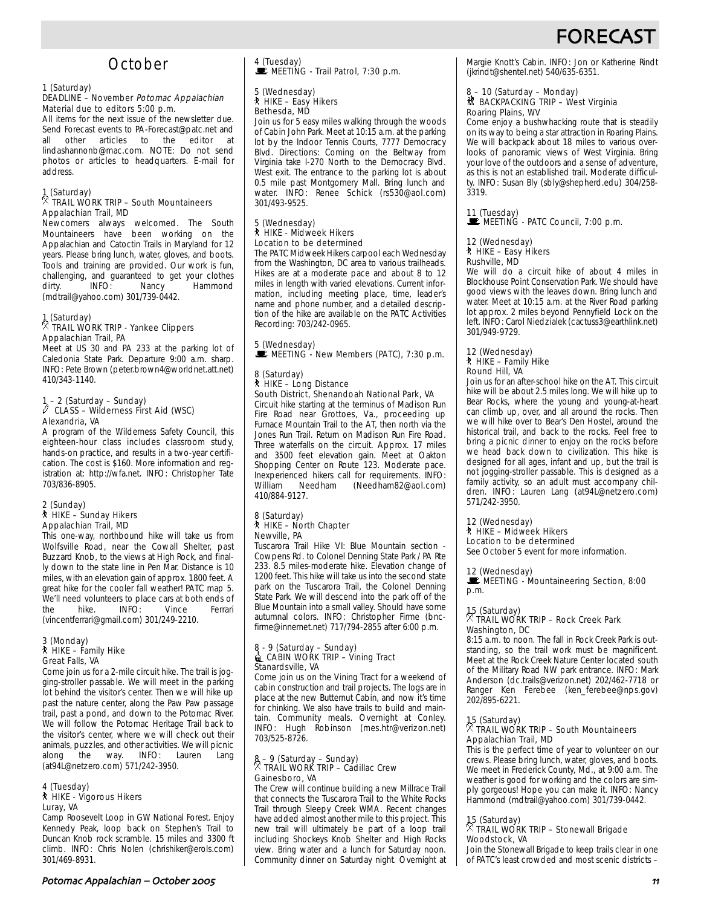# FORECA:

# **October**

#### 1 (Saturday)

#### DEADLINE – November Potomac Appalachian Material due to editors 5:00 p.m.

All items for the next issue of the newsletter due. Send Forecast events to PA-Forecast@patc.net and all other articles to the editor at articles to the lindashannonb@mac.com. NOTE: Do not send photos or articles to headquarters. E-mail for address.

### 1 (Saturday) . TRAIL WORK TRIP – South Mountaineers Appalachian Trail, MD

Newcomers always welcomed. The South Mountaineers have been working on the Appalachian and Catoctin Trails in Maryland for 12 years. Please bring lunch, water, gloves, and boots. Tools and training are provided. Our work is fun, challenging, and guaranteed to get your clothes dirty. **INFO:** Nancy Hammond (mdtrail@yahoo.com) 301/739-0442.

#### 1 (Saturday) . TRAIL WORK TRIP - Yankee Clippers Appalachian Trail, PA

Meet at US 30 and PA 233 at the parking lot of Caledonia State Park. Departure 9:00 a.m. sharp. INFO: Pete Brown (peter.brown4@worldnet.att.net) 410/343-1140.

# 1 – 2 (Saturday – Sunday) a CLASS – Wilderness First Aid (WSC) Alexandria, VA

A program of the Wilderness Safety Council, this eighteen-hour class includes classroom study, hands-on practice, and results in a two-year certification. The cost is \$160. More information and registration at: http://wfa.net. INFO: Christopher Tate 703/836-8905.

#### 2 (Sunday) ` HIKE – Sunday Hikers Appalachian Trail, MD

This one-way, northbound hike will take us from Wolfsville Road, near the Cowall Shelter, past Buzzard Knob, to the views at High Rock, and finally down to the state line in Pen Mar. Distance is 10 miles, with an elevation gain of approx. 1800 feet. A great hike for the cooler fall weather! PATC map 5. We'll need volunteers to place cars at both ends of<br>the  $\frac{1}{2}$  hike  $\frac{1}{2}$  INFO:  $\frac{1}{2}$  Mince Ferrari the hike. INFO: Vince Ferrari (vincentferrari@gmail.com) 301/249-2210.

## 3 (Monday) ` HIKE – Family Hike Great Falls, VA

Come join us for a 2-mile circuit hike. The trail is jogging-stroller passable. We will meet in the parking lot behind the visitor's center. Then we will hike up past the nature center, along the Paw Paw passage trail, past a pond, and down to the Potomac River. We will follow the Potomac Heritage Trail back to the visitor's center, where we will check out their animals, puzzles, and other activities. We will picnic along the way. INFO: Lauren Lang (at94L@netzero.com) 571/242-3950.

#### 4 (Tuesday) ` HIKE - Vigorous Hikers Luray, VA

Camp Roosevelt Loop in GW National Forest. Enjoy Kennedy Peak, loop back on Stephen's Trail to Duncan Knob rock scramble. 15 miles and 3300 ft climb. INFO: Chris Nolen (chrishiker@erols.com) 301/469-8931.

4 (Tuesday)<br>■ MEETING - Trail Patrol, 7:30 p.m.

# 5 (Wednesday) ` HIKE – Easy Hikers Bethesda, MD

Join us for 5 easy miles walking through the woods of Cabin John Park. Meet at 10:15 a.m. at the parking lot by the Indoor Tennis Courts, 7777 Democracy Blvd. Directions: Coming on the Beltway from Virginia take I-270 North to the Democracy Blvd. West exit. The entrance to the parking lot is about 0.5 mile past Montgomery Mall. Bring lunch and water. INFO: Renee Schick (rs530@aol.com) 301/493-9525.

#### 5 (Wednesday) ` HIKE - Midweek Hikers Location to be determined

The PATC Midweek Hikers carpool each Wednesday from the Washington, DC area to various trailheads. Hikes are at a moderate pace and about 8 to 12 miles in length with varied elevations. Current information, including meeting place, time, leader's name and phone number, and a detailed description of the hike are available on the PATC Activities Recording: 703/242-0965.

### 5 (Wednesday)  $\mathbf{\dot{E}}$  MEETING - New Members (PATC), 7:30 p.m.

#### 8 (Saturday) ` HIKE – Long Distance South District, Shenandoah National Park, VA

Circuit hike starting at the terminus of Madison Run Fire Road near Grottoes, Va., proceeding up Furnace Mountain Trail to the AT, then north via the Jones Run Trail. Return on Madison Run Fire Road. Three waterfalls on the circuit. Approx. 17 miles and 3500 feet elevation gain. Meet at Oakton Shopping Center on Route 123. Moderate pace. Inexperienced hikers call for requirements. INFO:<br>William Needham (Needham82@aol.com) (Needham82@aol.com) 410/884-9127.

#### 8 (Saturday) ` HIKE – North Chapter Newville, PA

Tuscarora Trail Hike VI: Blue Mountain section - Cowpens Rd. to Colonel Denning State Park / PA Rte 233. 8.5 miles-moderate hike. Elevation change of 1200 feet. This hike will take us into the second state park on the Tuscarora Trail, the Colonel Denning State Park. We will descend into the park off of the Blue Mountain into a small valley. Should have some autumnal colors. INFO: Christopher Firme (bncfirme@innernet.net) 717/794-2855 after 6:00 p.m.

#### 8 - 9 (Saturday – Sunday) d CABIN WORK TRIP – Vining Tract Stanardsville, VA

Come join us on the Vining Tract for a weekend of cabin construction and trail projects. The logs are in place at the new Butternut Cabin, and now it's time for chinking. We also have trails to build and maintain. Community meals. Overnight at Conley. INFO: Hugh Robinson (mes.htr@verizon.net) 703/525-8726.

## 8 – 9 (Saturday – Sunday) . TRAIL WORK TRIP – Cadillac Crew Gainesboro, VA

The Crew will continue building a new Millrace Trail that connects the Tuscarora Trail to the White Rocks Trail through Sleepy Creek WMA. Recent changes have added almost another mile to this project. This new trail will ultimately be part of a loop trail including Shockeys Knob Shelter and High Rocks view. Bring water and a lunch for Saturday noon. Community dinner on Saturday night. Overnight at Margie Knott's Cabin. INFO: Jon or Katherine Rindt (jkrindt@shentel.net) 540/635-6351.

#### 8 – 10 (Saturday – Monday) ~ BACKPACKING TRIP – West Virginia Roaring Plains, WV

Come enjoy a bushwhacking route that is steadily on its way to being a star attraction in Roaring Plains. We will backpack about 18 miles to various overlooks of panoramic views of West Virginia. Bring your love of the outdoors and a sense of adventure, as this is not an established trail. Moderate difficulty. INFO: Susan Bly (sbly@shepherd.edu) 304/258- 3319.

11 (Tuesday)<br>■ MEETING - PATC Council, 7:00 p.m.

#### 12 (Wednesday) \* HIKE – Easy Hikers Rushville, MD

We will do a circuit hike of about 4 miles in Blockhouse Point Conservation Park. We should have good views with the leaves down. Bring lunch and water. Meet at 10:15 a.m. at the River Road parking lot approx. 2 miles beyond Pennyfield Lock on the left. INFO: Carol Niedzialek (cactuss3@earthlink.net) 301/949-9729.

#### 12 (Wednesday) ` HIKE – Family Hike Round Hill, VA

Join us for an after-school hike on the AT. This circuit hike will be about 2.5 miles long. We will hike up to Bear Rocks, where the young and young-at-heart can climb up, over, and all around the rocks. Then we will hike over to Bear's Den Hostel, around the historical trail, and back to the rocks. Feel free to bring a picnic dinner to enjoy on the rocks before we head back down to civilization. This hike is designed for all ages, infant and up, but the trail is not jogging-stroller passable. This is designed as a family activity, so an adult must accompany children. INFO: Lauren Lang (at94L@netzero.com) 571/242-3950.

#### 12 (Wednesday)

#### ` HIKE – Midweek Hikers

Location to be determined See October 5 event for more information.

#### 12 (Wednesday)

**WEETING - Mountaineering Section, 8:00** p.m.

### 15 (Saturday) . TRAIL WORK TRIP – Rock Creek Park Washington, DC

8:15 a.m. to noon. The fall in Rock Creek Park is outstanding, so the trail work must be magnificent. Meet at the Rock Creek Nature Center located south of the Military Road NW park entrance. INFO: Mark Anderson (dc.trails@verizon.net) 202/462-7718 or Ranger Ken Ferebee (ken\_ferebee@nps.gov) 202/895-6221.

### 15 (Saturday) . TRAIL WORK TRIP – South Mountaineers Appalachian Trail, MD

This is the perfect time of year to volunteer on our crews. Please bring lunch, water, gloves, and boots. We meet in Frederick County, Md., at 9:00 a.m. The weather is good for working and the colors are simply gorgeous! Hope you can make it. INFO: Nancy Hammond (mdtrail@yahoo.com) 301/739-0442.

# 15 (Saturday)

#### . TRAIL WORK TRIP – Stonewall Brigade Woodstock, VA

Join the Stonewall Brigade to keep trails clear in one of PATC's least crowded and most scenic districts –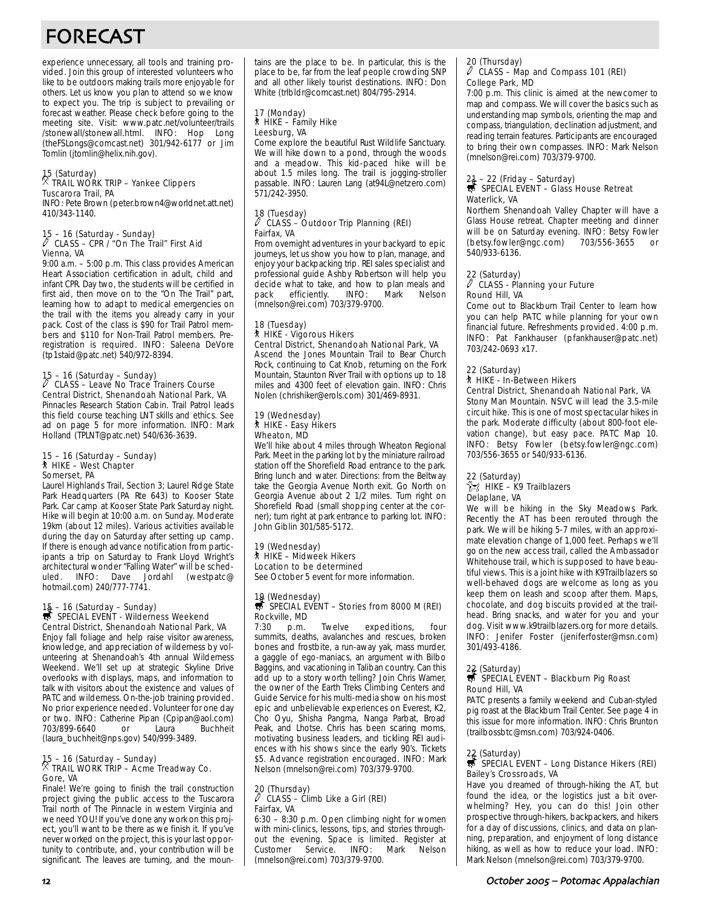# FORECAST

experience unnecessary, all tools and training provided. Join this group of interested volunteers who like to be outdoors making trails more enjoyable for others. Let us know you plan to attend so we know to expect you. The trip is subject to prevailing or forecast weather. Please check before going to the meeting site. Visit: www.patc.net/volunteer/trails /stonewall/stonewall.html. INFO: Hop Long (theFSLongs@comcast.net) 301/942-6177 or Jim Tomlin (jtomlin@helix.nih.gov).

## 15 (Saturday) . TRAIL WORK TRIP – Yankee Clippers Tuscarora Trail, PA

INFO: Pete Brown (peter.brown4@worldnet.att.net) 410/343-1140.

# 15 – 16 (Saturday - Sunday) a CLASS – CPR / "On The Trail" First Aid Vienna, VA

9:00 a.m. – 5:00 p.m. This class provides American Heart Association certification in adult, child and infant CPR. Day two, the students will be certified in first aid, then move on to the "On The Trail" part, learning how to adapt to medical emergencies on the trail with the items you already carry in your pack. Cost of the class is \$90 for Trail Patrol members and \$110 for Non-Trail Patrol members. Preregistration is required. INFO: Saleena DeVore (tp1staid@patc.net) 540/972-8394.

# 15 – 16 (Saturday – Sunday) a CLASS – Leave No Trace Trainers Course Central District, Shenandoah National Park, VA

Pinnacles Research Station Cabin. Trail Patrol leads this field course teaching LNT skills and ethics. See ad on page 5 for more information. INFO: Mark Holland (TPLNT@patc.net) 540/636-3639.

#### 15 – 16 (Saturday – Sunday) ` HIKE – West Chapter Somerset, PA

Laurel Highlands Trail, Section 3; Laurel Ridge State Park Headquarters (PA Rte 643) to Kooser State Park. Car camp at Kooser State Park Saturday night. Hike will begin at 10:00 a.m. on Sunday. Moderate 19km (about 12 miles). Various activities available during the day on Saturday after setting up camp. If there is enough advance notification from participants a trip on Saturday to Frank Lloyd Wright's architectural wonder "Falling Water" will be scheduled. INFO: Dave Jordahl (westpatc@ hotmail.com) 240/777-7741.

# 15 – 16 (Saturday – Sunday)<br>
SPECIAL EVENT - Wilderness Weekend Central District, Shenandoah National Park, VA

Enjoy fall foliage and help raise visitor awareness, knowledge, and appreciation of wilderness by volunteering at Shenandoah's 4th annual Wilderness Weekend. We'll set up at strategic Skyline Drive overlooks with displays, maps, and information to talk with visitors about the existence and values of PATC and wilderness. On-the-job training provided. No prior experience needed. Volunteer for one day or two. INFO: Catherine Pipan (Cpipan@aol.com)<br>703/899-6640 or Laura Buchheit 703/899-6640 (laura\_buchheit@nps.gov) 540/999-3489.

# 15 – 16 (Saturday – Sunday) . TRAIL WORK TRIP – Acme Treadway Co. Gore, VA

Finale! We're going to finish the trail construction project giving the public access to the Tuscarora Trail north of The Pinnacle in western Virginia and we need YOU! If you've done any work on this project, you'll want to be there as we finish it. If you've never worked on the project, this is your last opportunity to contribute, and, your contribution will be significant. The leaves are turning, and the mountains are the place to be. In particular, this is the place to be, far from the leaf people crowding SNP and all other likely tourist destinations. INFO: Don White (trlbldr@comcast.net) 804/795-2914.

#### 17 (Monday) ` HIKE – Family Hike Leesburg, VA

Come explore the beautiful Rust Wildlife Sanctuary. We will hike down to a pond, through the woods and a meadow. This kid-paced hike will be about 1.5 miles long. The trail is jogging-stroller passable. INFO: Lauren Lang (at94L@netzero.com) 571/242-3950.

#### 18 (Tuesday)<br>
<sup>2</sup> CLASS a CLASS – Outdoor Trip Planning (REI) Fairfax, VA

From overnight adventures in your backyard to epic journeys, let us show you how to plan, manage, and enjoy your backpacking trip. REI sales specialist and professional guide Ashby Robertson will help you decide what to take, and how to plan meals and pack efficiently. INFO: Mark Nelson (mnelson@rei.com) 703/379-9700.

#### 18 (Tuesday) ` HIKE - Vigorous Hikers Central District, Shenandoah National Park, VA

Ascend the Jones Mountain Trail to Bear Church Rock, continuing to Cat Knob, returning on the Fork Mountain, Staunton River Trail with options up to 18 miles and 4300 feet of elevation gain. INFO: Chris Nolen (chrishiker@erols.com) 301/469-8931.

#### 19 (Wednesday) ` HIKE - Easy Hikers Wheaton, MD

We'll hike about 4 miles through Wheaton Regional Park. Meet in the parking lot by the miniature railroad station off the Shorefield Road entrance to the park. Bring lunch and water. Directions: from the Beltway take the Georgia Avenue North exit. Go North on Georgia Avenue about 2 1/2 miles. Turn right on Shorefield Road (small shopping center at the corner); turn right at park entrance to parking lot. INFO: John Giblin 301/585-5172.

#### 19 (Wednesday)

` HIKE – Midweek Hikers Location to be determined

See October 5 event for more information.

### 19 (Wednesday)<br>S SPECIAL EVENT – Stories from 8000 M (REI) Rockville, MD

7:30 p.m. Twelve expeditions, four summits, deaths, avalanches and rescues, broken bones and frostbite, a run-away yak, mass murder, a gaggle of ego-maniacs, an argument with Bilbo Baggins, and vacationing in Taliban country. Can this add up to a story worth telling? Join Chris Warner, the owner of the Earth Treks Climbing Centers and Guide Service for his multi-media show on his most epic and unbelievable experiences on Everest, K2, Cho Oyu, Shisha Pangma, Nanga Parbat, Broad Peak, and Lhotse. Chris has been scaring moms, motivating business leaders, and tickling REI audiences with his shows since the early 90's. Tickets \$5. Advance registration encouraged. INFO: Mark Nelson (mnelson@rei.com) 703/379-9700.

#### 20 (Thursday) a CLASS – Climb Like a Girl (REI) Fairfax, VA

6:30 – 8:30 p.m. Open climbing night for women with mini-clinics, lessons, tips, and stories throughout the evening. Space is limited. Register at Customer Service. INFO: Mark Nelson Service. INFO: (mnelson@rei.com) 703/379-9700.

#### 20 (Thursday)  $\mathscr I$  CLASS – Map and Compass 101 (REI) College Park, MD

7:00 p.m. This clinic is aimed at the newcomer to map and compass. We will cover the basics such as understanding map symbols, orienting the map and compass, triangulation, declination adjustment, and reading terrain features. Participants are encouraged to bring their own compasses. INFO: Mark Nelson (mnelson@rei.com) 703/379-9700.

# 21 – 22 (Friday – Saturday)<br>स्त्रै SPECIAL EVENT – Glass House Retreat Waterlick, VA

Northern Shenandoah Valley Chapter will have a Glass House retreat. Chapter meeting and dinner will be on Saturday evening. INFO: Betsy Fowler (betsy.fowler@ngc.com) 703/556-3655 or 540/933-6136.

#### 22 (Saturday)

#### $\overline{\mathbb{Z}}$  CLASS - Planning your Future Round Hill, VA

Come out to Blackburn Trail Center to learn how you can help PATC while planning for your own financial future. Refreshments provided. 4:00 p.m. INFO: Pat Fankhauser (pfankhauser@patc.net) 703/242-0693 x17.

#### 22 (Saturday) ` HIKE - In-Between Hikers

#### Central District, Shenandoah National Park, VA

Stony Man Mountain. NSVC will lead the 3.5-mile circuit hike. This is one of most spectacular hikes in the park. Moderate difficulty (about 800-foot elevation change), but easy pace. PATC Map 10. INFO: Betsy Fowler (betsy.fowler@ngc.com) 703/556-3655 or 540/933-6136.

#### 22 (Saturday)

#### $\approx$  HIKE – K9 Trailblazers Delaplane, VA

We will be hiking in the Sky Meadows Park. Recently the AT has been rerouted through the park. We will be hiking 5-7 miles, with an approximate elevation change of 1,000 feet. Perhaps we'll go on the new access trail, called the Ambassador Whitehouse trail, which is supposed to have beautiful views. This is a joint hike with K9Trailblazers so well-behaved dogs are welcome as long as you keep them on leash and scoop after them. Maps, chocolate, and dog biscuits provided at the trailhead. Bring snacks, and water for you and your dog. Visit www.k9trailblazers.org for more details. INFO: Jenifer Foster (jeniferfoster@msn.com) 301/493-4186.

# 22 (Saturday)<br>第 SPECIAL EVENT – Blackburn Pig Roast Round Hill, VA

PATC presents a family weekend and Cuban-styled pig roast at the Blackburn Trail Center. See page 4 in this issue for more information. INFO: Chris Brunton (trailbossbtc@msn.com) 703/924-0406.

# 22 (Saturday)<br>5 SPECIAL EVENT – Long Distance Hikers (REI) Bailey's Crossroads, VA

Have you dreamed of through-hiking the AT, but found the idea, or the logistics just a bit overwhelming? Hey, you can do this! Join other prospective through-hikers, backpackers, and hikers for a day of discussions, clinics, and data on planning, preparation, and enjoyment of long distance hiking, as well as how to reduce your load. INFO: Mark Nelson (mnelson@rei.com) 703/379-9700.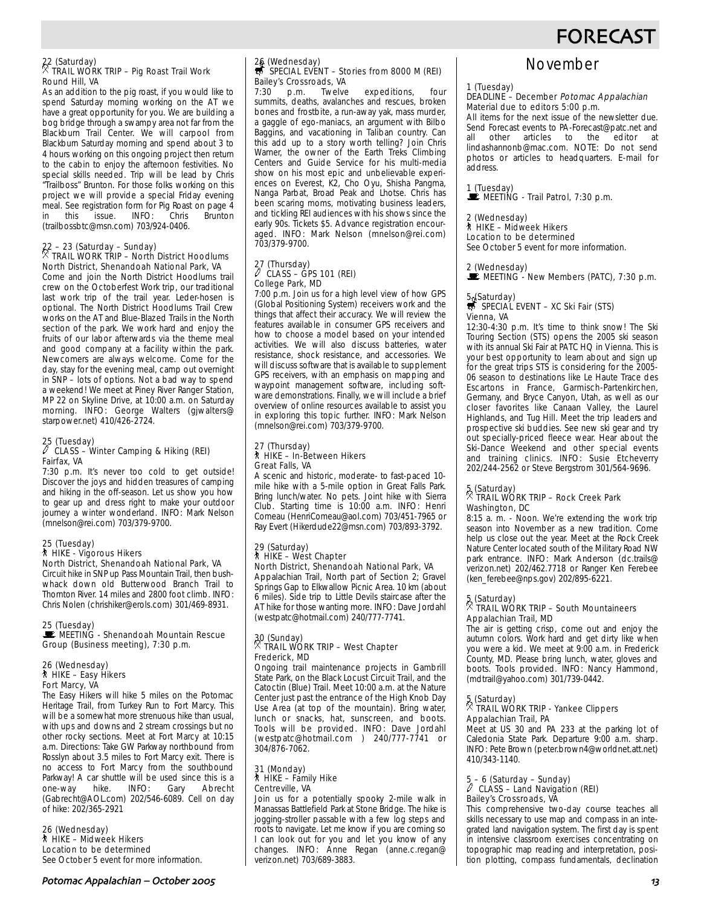# **FORECAST**

### 22 (Saturday) . TRAIL WORK TRIP – Pig Roast Trail Work Round Hill, VA

As an addition to the pig roast, if you would like to spend Saturday morning working on the AT we have a great opportunity for you. We are building a bog bridge through a swampy area not far from the Blackburn Trail Center. We will carpool from Blackburn Saturday morning and spend about 3 to 4 hours working on this ongoing project then return to the cabin to enjoy the afternoon festivities. No special skills needed. Trip will be lead by Chris "Trailboss" Brunton. For those folks working on this project we will provide a special Friday evening meal. See registration form for Pig Roast on page 4<br>in this issue. INFO: Chris Brunton in this issue. INFO: Chris Brunton (trailbossbtc@msn.com) 703/924-0406.

# 22 – 23 (Saturday – Sunday) . TRAIL WORK TRIP – North District Hoodlums North District, Shenandoah National Park, VA

Come and join the North District Hoodlums trail crew on the Octoberfest Work trip, our traditional last work trip of the trail year. Leder-hosen is optional. The North District Hoodlums Trail Crew works on the AT and Blue-Blazed Trails in the North section of the park. We work hard and enjoy the fruits of our labor afterwards via the theme meal and good company at a facility within the park. Newcomers are always welcome. Come for the day, stay for the evening meal, camp out overnight in SNP – lots of options. Not a bad way to spend a weekend! We meet at Piney River Ranger Station, MP 22 on Skyline Drive, at 10:00 a.m. on Saturday morning. INFO: George Walters (gjwalters@ starpower.net) 410/426-2724.

## 25 (Tuesday) a CLASS – Winter Camping & Hiking (REI) Fairfax, VA

7:30 p.m. It's never too cold to get outside! Discover the joys and hidden treasures of camping and hiking in the off-season. Let us show you how to gear up and dress right to make your outdoor journey a winter wonderland. INFO: Mark Nelson (mnelson@rei.com) 703/379-9700.

#### 25 (Tuesday) ` HIKE - Vigorous Hikers North District, Shenandoah National Park, VA

Circuit hike in SNP up Pass Mountain Trail, then bushwhack down old Butterwood Branch Trail to Thornton River. 14 miles and 2800 foot climb. INFO: Chris Nolen (chrishiker@erols.com) 301/469-8931.

#### 25 (Tuesday)

MEETING - Shenandoah Mountain Rescue Group (Business meeting), 7:30 p.m.

#### 26 (Wednesday) ` HIKE – Easy Hikers Fort Marcy, VA

The Easy Hikers will hike 5 miles on the Potomac Heritage Trail, from Turkey Run to Fort Marcy. This will be a somewhat more strenuous hike than usual, with ups and downs and 2 stream crossings but no other rocky sections. Meet at Fort Marcy at 10:15 a.m. Directions: Take GW Parkway northbound from Rosslyn about 3.5 miles to Fort Marcy exit. There is no access to Fort Marcy from the southbound Parkway! A car shuttle will be used since this is a<br>one-way hike. INFO: Gary Abrecht one-way hike. INFO: Gary Abrecht (Gabrecht@AOL.com) 202/546-6089. Cell on day of hike: 202/365-2921

#### 26 (Wednesday) ` HIKE – Midweek Hikers Location to be determined See October 5 event for more information.

#### Potomac Appalachian – October \$

# 26 (Wednesday)<br>₩ SPECIAL EVENT – Stories from 8000 M (REI) Bailey's Crossroads, VA

7:30 p.m. Twelve expeditions, four summits, deaths, avalanches and rescues, broken bones and frostbite, a run-away yak, mass murder, a gaggle of ego-maniacs, an argument with Bilbo Baggins, and vacationing in Taliban country. Can this add up to a story worth telling? Join Chris Warner, the owner of the Earth Treks Climbing Centers and Guide Service for his multi-media show on his most epic and unbelievable experiences on Everest, K2, Cho Oyu, Shisha Pangma, Nanga Parbat, Broad Peak and Lhotse. Chris has been scaring moms, motivating business leaders, and tickling REI audiences with his shows since the early 90s. Tickets \$5. Advance registration encouraged. INFO: Mark Nelson (mnelson@rei.com) 703/379-9700.

# 27 (Thursday) a CLASS – GPS 101 (REI) College Park, MD

7:00 p.m. Join us for a high level view of how GPS (Global Positioning System) receivers work and the things that affect their accuracy. We will review the features available in consumer GPS receivers and how to choose a model based on your intended activities. We will also discuss batteries, water resistance, shock resistance, and accessories. We will discuss software that is available to supplement GPS receivers, with an emphasis on mapping and waypoint management software, including software demonstrations. Finally, we will include a brief overview of online resources available to assist you in exploring this topic further. INFO: Mark Nelson (mnelson@rei.com) 703/379-9700.

#### 27 (Thursday) ` HIKE – In-Between Hikers Great Falls, VA

A scenic and historic, moderate- to fast-paced 10 mile hike with a 5-mile option in Great Falls Park. Bring lunch/water. No pets. Joint hike with Sierra Club. Starting time is 10:00 a.m. INFO: Henri Comeau (HenriComeau@aol.com) 703/451-7965 or Ray Evert (Hikerdude22@msn.com) 703/893-3792.

#### 29 (Saturday) ` HIKE – West Chapter North District, Shenandoah National Park, VA

Appalachian Trail, North part of Section 2; Gravel Springs Gap to Elkwallow Picnic Area. 10 km (about 6 miles). Side trip to Little Devils staircase after the AT hike for those wanting more. INFO: Dave Jordahl (westpatc@hotmail.com) 240/777-7741.

# 30 (Sunday) . TRAIL WORK TRIP – West Chapter Frederick, MD

Ongoing trail maintenance projects in Gambrill State Park, on the Black Locust Circuit Trail, and the Catoctin (Blue) Trail. Meet 10:00 a.m. at the Nature Center just past the entrance of the High Knob Day Use Area (at top of the mountain). Bring water, lunch or snacks, hat, sunscreen, and boots. Tools will be provided. INFO: Dave Jordahl (westpatc@hotmail.com ) 240/777-7741 or 304/876-7062.

# 31 (Monday) ` HIKE – Family Hike Centreville, VA

Join us for a potentially spooky 2-mile walk in Manassas Battlefield Park at Stone Bridge. The hike is jogging-stroller passable with a few log steps and roots to navigate. Let me know if you are coming so I can look out for you and let you know of any changes. INFO: Anne Regan (anne.c.regan@ verizon.net) 703/689-3883.

# November

#### 1 (Tuesday)

#### DEADLINE – December Potomac Appalachian Material due to editors 5:00 p.m.

All items for the next issue of the newsletter due. Send Forecast events to PA-Forecast@patc.net and<br>all other articles to the editor at all other articles to the lindashannonb@mac.com. NOTE: Do not send photos or articles to headquarters. E-mail for address.

1 (Tuesday)<br>■ MEETING - Trail Patrol, 7:30 p.m.

#### (Wednesday)

#### ` HIKE – Midweek Hikers Location to be determined

See October 5 event for more information.

#### 2 (Wednesday)

**WEETING - New Members (PATC), 7:30 p.m.** 

# 5. (Saturday)<br>
S SPECIAL EVENT – XC Ski Fair (STS)

Vienna, VA 12:30-4:30 p.m. It's time to think snow! The Ski Touring Section (STS) opens the 2005 ski season with its annual Ski Fair at PATC HQ in Vienna. This is your best opportunity to learn about and sign up for the great trips STS is considering for the 2005- 06 season to destinations like Le Haute Trace des Escartons in France, Garmisch-Partenkirchen, Germany, and Bryce Canyon, Utah, as well as our closer favorites like Canaan Valley, the Laurel Highlands, and Tug Hill. Meet the trip leaders and prospective ski buddies. See new ski gear and try out specially-priced fleece wear. Hear about the Ski-Dance Weekend and other special events and training clinics. INFO: Susie Etcheverry 202/244-2562 or Steve Bergstrom 301/564-9696.

### 5 (Saturday) . TRAIL WORK TRIP – Rock Creek Park Washington, DC

8:15 a. m. - Noon. We're extending the work trip season into November as a new tradition. Come help us close out the year. Meet at the Rock Creek Nature Center located south of the Military Road NW park entrance. INFO: Mark Anderson (dc.trails@ verizon.net) 202/462.7718 or Ranger Ken Ferebee (ken\_ferebee@nps.gov) 202/895-6221.

# 5 (Saturday) . TRAIL WORK TRIP – South Mountaineers

#### Appalachian Trail, MD

The air is getting crisp, come out and enjoy the autumn colors. Work hard and get dirty like when you were a kid. We meet at 9:00 a.m. in Frederick County, MD. Please bring lunch, water, gloves and boots. Tools provided. INFO: Nancy Hammond, (mdtrail@yahoo.com) 301/739-0442.

### 5 (Saturday) . TRAIL WORK TRIP - Yankee Clippers Appalachian Trail, PA

Meet at US 30 and PA 233 at the parking lot of Caledonia State Park. Departure 9:00 a.m. sharp. INFO: Pete Brown (peter.brown4@worldnet.att.net) 410/343-1140.

# 5 – 6 (Saturday – Sunday) a CLASS – Land Navigation (REI) Bailey's Crossroads, VA

This comprehensive two-day course teaches all skills necessary to use map and compass in an integrated land navigation system. The first day is spent in intensive classroom exercises concentrating on topographic map reading and interpretation, position plotting, compass fundamentals, declination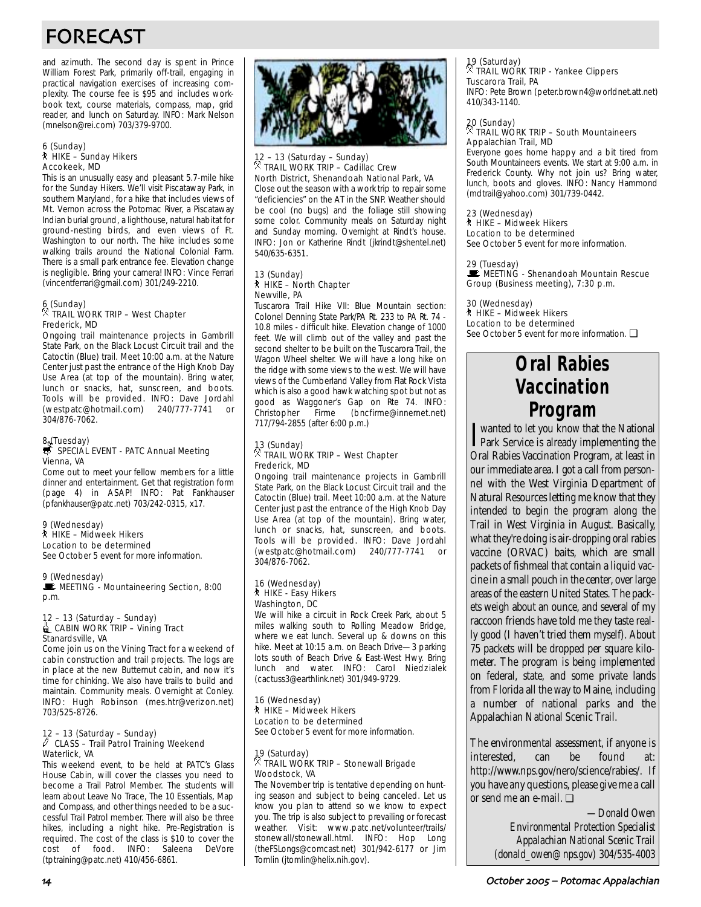# FORECAST

and azimuth. The second day is spent in Prince William Forest Park, primarily off-trail, engaging in practical navigation exercises of increasing complexity. The course fee is \$95 and includes workbook text, course materials, compass, map, grid reader, and lunch on Saturday. INFO: Mark Nelson (mnelson@rei.com) 703/379-9700.

#### 6 (Sunday) ` HIKE – Sunday Hikers Accokeek, MD

This is an unusually easy and pleasant 5.7-mile hike for the Sunday Hikers. We'll visit Piscataway Park, in southern Maryland, for a hike that includes views of Mt. Vernon across the Potomac River, a Piscataway Indian burial ground, a lighthouse, natural habitat for ground-nesting birds, and even views of Ft. Washington to our north. The hike includes some walking trails around the National Colonial Farm. There is a small park entrance fee. Elevation change is negligible. Bring your camera! INFO: Vince Ferrari (vincentferrari@gmail.com) 301/249-2210.

## 6 (Sunday) . TRAIL WORK TRIP – West Chapter Frederick, MD

Ongoing trail maintenance projects in Gambrill State Park, on the Black Locust Circuit trail and the Catoctin (Blue) trail. Meet 10:00 a.m. at the Nature Center just past the entrance of the High Knob Day Use Area (at top of the mountain). Bring water, lunch or snacks, hat, sunscreen, and boots. Tools will be provided. INFO: Dave Jordahl (westpatc@hotmail.com) 240/777-7741 or 304/876-7062.

# 8. (Tuesday)<br>S SPECIAL EVENT - PATC Annual Meeting Vienna, VA

Come out to meet your fellow members for a little dinner and entertainment. Get that registration form (page 4) in ASAP! INFO: Pat Fankhauser (pfankhauser@patc.net) 703/242-0315, x17.

#### 9 (Wednesday)

#### ` HIKE – Midweek Hikers Location to be determined

See October 5 event for more information.

#### 9 (Wednesday)

MEETING - Mountaineering Section, 8:00 p.m.

#### 12 – 13 (Saturday – Sunday)  $\triangleq$  CABIN WORK TRIP – Vining Tract Stanardsville, VA

Come join us on the Vining Tract for a weekend of cabin construction and trail projects. The logs are in place at the new Butternut cabin, and now it's time for chinking. We also have trails to build and maintain. Community meals. Overnight at Conley. INFO: Hugh Robinson (mes.htr@verizon.net) 703/525-8726.

#### 12 – 13 (Saturday – Sunday)  $\ell$  CLASS – Trail Patrol Training Weekend Waterlick, VA

This weekend event, to be held at PATC's Glass House Cabin, will cover the classes you need to become a Trail Patrol Member. The students will learn about Leave No Trace, The 10 Essentials, Map and Compass, and other things needed to be a successful Trail Patrol member. There will also be three hikes, including a night hike. Pre-Registration is required. The cost of the class is \$10 to cover the cost of food. INFO: Saleena DeVore (tptraining@patc.net) 410/456-6861.



#### 12 – 13 (Saturday – Sunday)<br> $\%$  трлн мори тэр . TRAIL WORK TRIP – Cadillac Crew North District, Shenandoah National Park, VA

Close out the season with a work trip to repair some "deficiencies" on the AT in the SNP. Weather should be cool (no bugs) and the foliage still showing some color. Community meals on Saturday night and Sunday morning. Overnight at Rindt's house. INFO: Jon or Katherine Rindt (jkrindt@shentel.net) 540/635-6351.

#### 13 (Sunday) ` HIKE – North Chapter Newville, PA

Tuscarora Trail Hike VII: Blue Mountain section: Colonel Denning State Park/PA Rt. 233 to PA Rt. 74 - 10.8 miles - difficult hike. Elevation change of 1000 feet. We will climb out of the valley and past the second shelter to be built on the Tuscarora Trail, the Wagon Wheel shelter. We will have a long hike on the ridge with some views to the west. We will have views of the Cumberland Valley from Flat Rock Vista which is also a good hawk watching spot but not as good as Waggoner's Gap on Rte 74. INFO: Christopher Firme (bncfirme@innernet.net) 717/794-2855 (after 6:00 p.m.)

#### 13 (Sunday)  $^\times$  TRAIL WORK TRIP – West Chapter Frederick, MD

Ongoing trail maintenance projects in Gambrill State Park, on the Black Locust Circuit trail and the Catoctin (Blue) trail. Meet 10:00 a.m. at the Nature Center just past the entrance of the High Knob Day Use Area (at top of the mountain). Bring water, lunch or snacks, hat, sunscreen, and boots. Tools will be provided. INFO: Dave Jordahl (westpatc@hotmail.com) 240/777-7741 or 304/876-7062.

#### 16 (Wednesday) ` HIKE - Easy Hikers Washington, DC

We will hike a circuit in Rock Creek Park, about 5 miles walking south to Rolling Meadow Bridge, where we eat lunch. Several up & downs on this hike. Meet at 10:15 a.m. on Beach Drive—3 parking lots south of Beach Drive & East-West Hwy. Bring lunch and water. INFO: Carol Niedzialek (cactuss3@earthlink.net) 301/949-9729.

#### 16 (Wednesday) ` HIKE – Midweek Hikers Location to be determined

See October 5 event for more information.

#### 19 (Saturday) . TRAIL WORK TRIP – Stonewall Brigade Woodstock, VA

The November trip is tentative depending on hunting season and subject to being canceled. Let us know you plan to attend so we know to expect you. The trip is also subject to prevailing or forecast weather. Visit: www.patc.net/volunteer/trails/ stonewall/stonewall.html. INFO: Hop Long (theFSLongs@comcast.net) 301/942-6177 or Jim Tomlin (jtomlin@helix.nih.gov).

## 19 (Saturday) . TRAIL WORK TRIP - Yankee Clippers Tuscarora Trail, PA

INFO: Pete Brown (peter.brown4@worldnet.att.net) 410/343-1140.

### 20 (Sunday) . TRAIL WORK TRIP – South Mountaineers Appalachian Trail, MD

Everyone goes home happy and a bit tired from South Mountaineers events. We start at 9:00 a.m. in Frederick County. Why not join us? Bring water, lunch, boots and gloves. INFO: Nancy Hammond (mdtrail@yahoo.com) 301/739-0442.

#### 23 (Wednesday)

#### ` HIKE – Midweek Hikers Location to be determined

See October 5 event for more information.

#### 29 (Tuesday)

**MEETING - Shenandoah Mountain Rescue** Group (Business meeting), 7:30 p.m.

30 (Wednesday) ` HIKE – Midweek Hikers Location to be determined See October 5 event for more information. **□** 

# **Oral Rabies Vaccination Program**

**I** wanted to let you know that the National Park Service is already implementing the wanted to let you know that the National Oral Rabies Vaccination Program, at least in our immediate area. I got a call from personnel with the West Virginia Department of Natural Resources letting me know that they intended to begin the program along the Trail in West Virginia in August. Basically, what they're doing is air-dropping oral rabies vaccine (ORVAC) baits, which are small packets of fishmeal that contain a liquid vaccine in a small pouch in the center, over large areas of the eastern United States. The packets weigh about an ounce, and several of my raccoon friends have told me they taste really good (I haven't tried them myself). About 75 packets will be dropped per square kilometer. The program is being implemented on federal, state, and some private lands from Florida all the way to Maine, including a number of national parks and the Appalachian National Scenic Trail.

The environmental assessment, if anyone is interested, can be found at: http://www.nps.gov/nero/science/rabies/. If you have any questions, please give me a call or send me an e-mail. ❏

> *—Donald Owen Environmental Protection Specialist Appalachian National Scenic Trail (donald\_owen@nps.gov) 304/535-4003*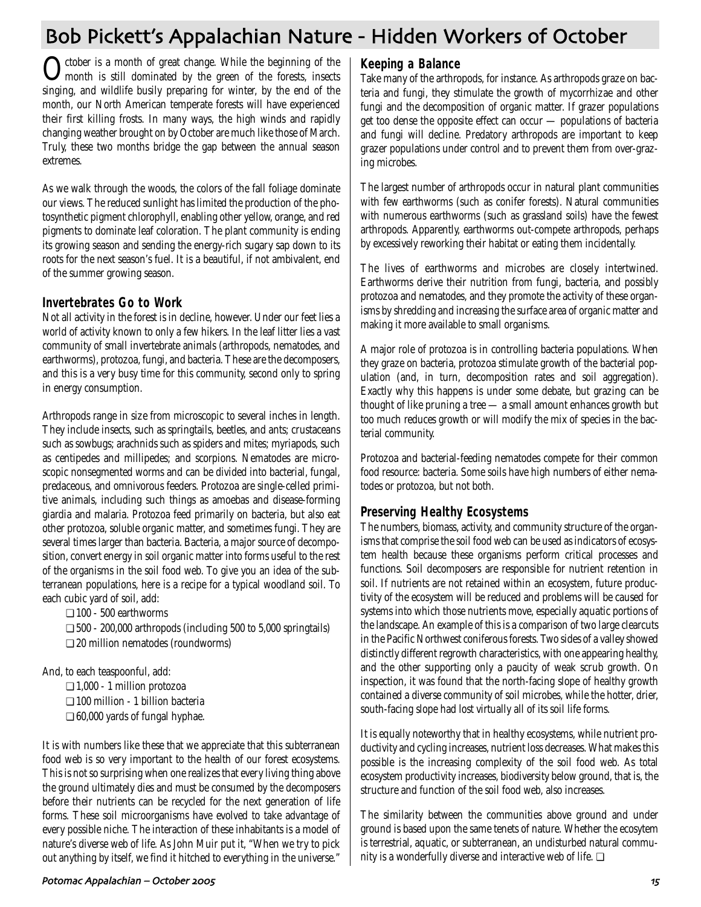# Bob Pickett's Appalachian Nature - Hidden Workers of October

October is a month of great change. While the beginning of the month is still dominated by the green of the forests, insects singing, and wildlife busily preparing for winter, by the end of the month, our North American temperate forests will have experienced their first killing frosts. In many ways, the high winds and rapidly changing weather brought on by October are much like those of March. Truly, these two months bridge the gap between the annual season extremes.

As we walk through the woods, the colors of the fall foliage dominate our views. The reduced sunlight has limited the production of the photosynthetic pigment chlorophyll, enabling other yellow, orange, and red pigments to dominate leaf coloration. The plant community is ending its growing season and sending the energy-rich sugary sap down to its roots for the next season's fuel. It is a beautiful, if not ambivalent, end of the summer growing season.

### **Invertebrates Go to Work**

Not all activity in the forest is in decline, however. Under our feet lies a world of activity known to only a few hikers. In the leaf litter lies a vast community of small invertebrate animals (arthropods, nematodes, and earthworms), protozoa, fungi, and bacteria. These are the decomposers, and this is a very busy time for this community, second only to spring in energy consumption.

Arthropods range in size from microscopic to several inches in length. They include insects, such as springtails, beetles, and ants; crustaceans such as sowbugs; arachnids such as spiders and mites; myriapods, such as centipedes and millipedes; and scorpions. Nematodes are microscopic nonsegmented worms and can be divided into bacterial, fungal, predaceous, and omnivorous feeders. Protozoa are single-celled primitive animals, including such things as amoebas and disease-forming giardia and malaria. Protozoa feed primarily on bacteria, but also eat other protozoa, soluble organic matter, and sometimes fungi. They are several times larger than bacteria. Bacteria, a major source of decomposition, convert energy in soil organic matter into forms useful to the rest of the organisms in the soil food web. To give you an idea of the subterranean populations, here is a recipe for a typical woodland soil. To each cubic yard of soil, add:

❏ 100 - 500 earthworms

❏ 500 - 200,000 arthropods (including 500 to 5,000 springtails) ❏ 20 million nematodes (roundworms)

And, to each teaspoonful, add:

❏ 1,000 - 1 million protozoa ❏ 100 million - 1 billion bacteria ❏ 60,000 yards of fungal hyphae.

It is with numbers like these that we appreciate that this subterranean food web is so very important to the health of our forest ecosystems. This is not so surprising when one realizes that every living thing above the ground ultimately dies and must be consumed by the decomposers before their nutrients can be recycled for the next generation of life forms. These soil microorganisms have evolved to take advantage of every possible niche. The interaction of these inhabitants is a model of nature's diverse web of life. As John Muir put it, "When we try to pick out anything by itself, we find it hitched to everything in the universe."

**Keeping a Balance**

Take many of the arthropods, for instance. As arthropods graze on bacteria and fungi, they stimulate the growth of mycorrhizae and other fungi and the decomposition of organic matter. If grazer populations get too dense the opposite effect can occur — populations of bacteria and fungi will decline. Predatory arthropods are important to keep grazer populations under control and to prevent them from over-grazing microbes.

The largest number of arthropods occur in natural plant communities with few earthworms (such as conifer forests). Natural communities with numerous earthworms (such as grassland soils) have the fewest arthropods. Apparently, earthworms out-compete arthropods, perhaps by excessively reworking their habitat or eating them incidentally.

The lives of earthworms and microbes are closely intertwined. Earthworms derive their nutrition from fungi, bacteria, and possibly protozoa and nematodes, and they promote the activity of these organisms by shredding and increasing the surface area of organic matter and making it more available to small organisms.

A major role of protozoa is in controlling bacteria populations. When they graze on bacteria, protozoa stimulate growth of the bacterial population (and, in turn, decomposition rates and soil aggregation). Exactly why this happens is under some debate, but grazing can be thought of like pruning a tree — a small amount enhances growth but too much reduces growth or will modify the mix of species in the bacterial community.

Protozoa and bacterial-feeding nematodes compete for their common food resource: bacteria. Some soils have high numbers of either nematodes or protozoa, but not both.

## **Preserving Healthy Ecosystems**

The numbers, biomass, activity, and community structure of the organisms that comprise the soil food web can be used as indicators of ecosystem health because these organisms perform critical processes and functions. Soil decomposers are responsible for nutrient retention in soil. If nutrients are not retained within an ecosystem, future productivity of the ecosystem will be reduced and problems will be caused for systems into which those nutrients move, especially aquatic portions of the landscape. An example of this is a comparison of two large clearcuts in the Pacific Northwest coniferous forests. Two sides of a valley showed distinctly different regrowth characteristics, with one appearing healthy, and the other supporting only a paucity of weak scrub growth. On inspection, it was found that the north-facing slope of healthy growth contained a diverse community of soil microbes, while the hotter, drier, south-facing slope had lost virtually all of its soil life forms.

It is equally noteworthy that in healthy ecosystems, while nutrient productivity and cycling increases, nutrient loss decreases. What makes this possible is the increasing complexity of the soil food web. As total ecosystem productivity increases, biodiversity below ground, that is, the structure and function of the soil food web, also increases.

The similarity between the communities above ground and under ground is based upon the same tenets of nature. Whether the ecosytem is terrestrial, aquatic, or subterranean, an undisturbed natural community is a wonderfully diverse and interactive web of life. ❏

#### Potomac Appalachian – October \$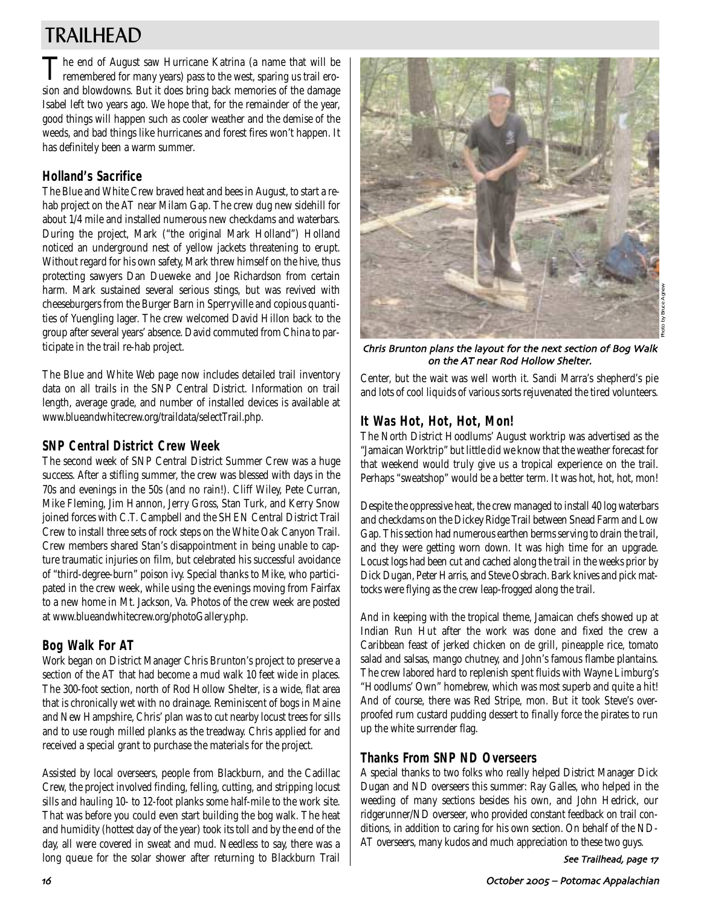# TRAILHEAD

The end of August saw Hurricane Katrina (a name that will be remembered for many years) pass to the west, sparing us trail erosion and blowdowns. But it does bring back memories of the damage Isabel left two years ago. We hope that, for the remainder of the year, good things will happen such as cooler weather and the demise of the weeds, and bad things like hurricanes and forest fires won't happen. It has definitely been a warm summer.

# **Holland's Sacrifice**

The Blue and White Crew braved heat and bees in August, to start a rehab project on the AT near Milam Gap. The crew dug new sidehill for about 1/4 mile and installed numerous new checkdams and waterbars. During the project, Mark ("the original Mark Holland") Holland noticed an underground nest of yellow jackets threatening to erupt. Without regard for his own safety, Mark threw himself on the hive, thus protecting sawyers Dan Dueweke and Joe Richardson from certain harm. Mark sustained several serious stings, but was revived with cheeseburgers from the Burger Barn in Sperryville and copious quantities of Yuengling lager. The crew welcomed David Hillon back to the group after several years' absence. David commuted from China to participate in the trail re-hab project.

The Blue and White Web page now includes detailed trail inventory data on all trails in the SNP Central District. Information on trail length, average grade, and number of installed devices is available at www.blueandwhitecrew.org/traildata/selectTrail.php.

# **SNP Central District Crew Week**

The second week of SNP Central District Summer Crew was a huge success. After a stifling summer, the crew was blessed with days in the 70s and evenings in the 50s (and no rain!). Cliff Wiley, Pete Curran, Mike Fleming, Jim Hannon, Jerry Gross, Stan Turk, and Kerry Snow joined forces with C.T. Campbell and the SHEN Central District Trail Crew to install three sets of rock steps on the White Oak Canyon Trail. Crew members shared Stan's disappointment in being unable to capture traumatic injuries on film, but celebrated his successful avoidance of "third-degree-burn" poison ivy. Special thanks to Mike, who participated in the crew week, while using the evenings moving from Fairfax to a new home in Mt. Jackson, Va. Photos of the crew week are posted at www.blueandwhitecrew.org/photoGallery.php.

# **Bog Walk For AT**

Work began on District Manager Chris Brunton's project to preserve a section of the AT that had become a mud walk 10 feet wide in places. The 300-foot section, north of Rod Hollow Shelter, is a wide, flat area that is chronically wet with no drainage. Reminiscent of bogs in Maine and New Hampshire, Chris' plan was to cut nearby locust trees for sills and to use rough milled planks as the treadway. Chris applied for and received a special grant to purchase the materials for the project.

Assisted by local overseers, people from Blackburn, and the Cadillac Crew, the project involved finding, felling, cutting, and stripping locust sills and hauling 10- to 12-foot planks some half-mile to the work site. That was before you could even start building the bog walk. The heat and humidity (hottest day of the year) took its toll and by the end of the day, all were covered in sweat and mud. Needless to say, there was a long queue for the solar shower after returning to Blackburn Trail



Photo by Bruce Agnew

Chris Brunton plans the layout for the next section of Bog Walk on the AT near Rod Hollow Shelter

Center, but the wait was well worth it. Sandi Marra's shepherd's pie and lots of cool liquids of various sorts rejuvenated the tired volunteers.

# **It Was Hot, Hot, Hot, Mon!**

The North District Hoodlums' August worktrip was advertised as the "Jamaican Worktrip" but little did we know that the weather forecast for that weekend would truly give us a tropical experience on the trail. Perhaps "sweatshop" would be a better term. It was hot, hot, hot, mon!

Despite the oppressive heat, the crew managed to install 40 log waterbars and checkdams on the Dickey Ridge Trail between Snead Farm and Low Gap. This section had numerous earthen berms serving to drain the trail, and they were getting worn down. It was high time for an upgrade. Locust logs had been cut and cached along the trail in the weeks prior by Dick Dugan, Peter Harris, and Steve Osbrach. Bark knives and pick mattocks were flying as the crew leap-frogged along the trail.

And in keeping with the tropical theme, Jamaican chefs showed up at Indian Run Hut after the work was done and fixed the crew a Caribbean feast of jerked chicken on de grill, pineapple rice, tomato salad and salsas, mango chutney, and John's famous flambe plantains. The crew labored hard to replenish spent fluids with Wayne Limburg's "Hoodlums' Own" homebrew, which was most superb and quite a hit! And of course, there was Red Stripe, mon. But it took Steve's overproofed rum custard pudding dessert to finally force the pirates to run up the white surrender flag.

# **Thanks From SNP ND Overseers**

A special thanks to two folks who really helped District Manager Dick Dugan and ND overseers this summer: Ray Galles, who helped in the weeding of many sections besides his own, and John Hedrick, our ridgerunner/ND overseer, who provided constant feedback on trail conditions, in addition to caring for his own section. On behalf of the ND-AT overseers, many kudos and much appreciation to these two guys.

See Trailhead, page 17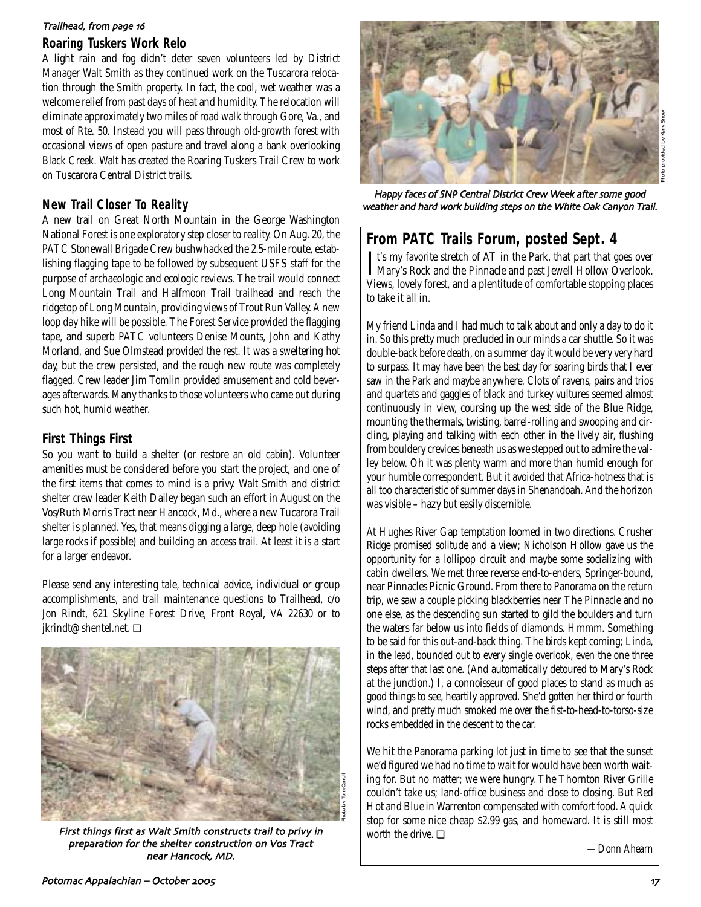#### Trailhead, from page 16

### **Roaring Tuskers Work Relo**

A light rain and fog didn't deter seven volunteers led by District Manager Walt Smith as they continued work on the Tuscarora relocation through the Smith property. In fact, the cool, wet weather was a welcome relief from past days of heat and humidity. The relocation will eliminate approximately two miles of road walk through Gore, Va., and most of Rte. 50. Instead you will pass through old-growth forest with occasional views of open pasture and travel along a bank overlooking Black Creek. Walt has created the Roaring Tuskers Trail Crew to work on Tuscarora Central District trails.

## **New Trail Closer To Reality**

A new trail on Great North Mountain in the George Washington National Forest is one exploratory step closer to reality. On Aug. 20, the PATC Stonewall Brigade Crew bushwhacked the 2.5-mile route, establishing flagging tape to be followed by subsequent USFS staff for the purpose of archaeologic and ecologic reviews. The trail would connect Long Mountain Trail and Halfmoon Trail trailhead and reach the ridgetop of Long Mountain, providing views of Trout Run Valley. A new loop day hike will be possible. The Forest Service provided the flagging tape, and superb PATC volunteers Denise Mounts, John and Kathy Morland, and Sue Olmstead provided the rest. It was a sweltering hot day, but the crew persisted, and the rough new route was completely flagged. Crew leader Jim Tomlin provided amusement and cold beverages afterwards. Many thanks to those volunteers who came out during such hot, humid weather.

## **First Things First**

So you want to build a shelter (or restore an old cabin). Volunteer amenities must be considered before you start the project, and one of the first items that comes to mind is a privy. Walt Smith and district shelter crew leader Keith Dailey began such an effort in August on the Vos/Ruth Morris Tract near Hancock, Md., where a new Tucarora Trail shelter is planned. Yes, that means digging a large, deep hole (avoiding large rocks if possible) and building an access trail. At least it is a start for a larger endeavor.

Please send any interesting tale, technical advice, individual or group accomplishments, and trail maintenance questions to Trailhead, c/o Jon Rindt, 621 Skyline Forest Drive, Front Royal, VA 22630 or to jkrindt@shentel.net. ❏



First things first as Walt Smith constructs trail to privy in preparation for the shelter construction on Vos Tract near Hancock, MD.



Happy faces of SNP Central District Crew Week after some good weather and hard work building steps on the White Oak Canyon Trail

# **From PATC Trails Forum, posted Sept. 4**

It's my favorite stretch of AT in the Park, that part that goes over<br>Mary's Rock and the Pinnacle and past Jewell Hollow Overlook. Mary's Rock and the Pinnacle and past Jewell Hollow Overlook. Views, lovely forest, and a plentitude of comfortable stopping places to take it all in.

My friend Linda and I had much to talk about and only a day to do it in. So this pretty much precluded in our minds a car shuttle. So it was double-back before death, on a summer day it would be very very hard to surpass. It may have been the best day for soaring birds that I ever saw in the Park and maybe anywhere. Clots of ravens, pairs and trios and quartets and gaggles of black and turkey vultures seemed almost continuously in view, coursing up the west side of the Blue Ridge, mounting the thermals, twisting, barrel-rolling and swooping and circling, playing and talking with each other in the lively air, flushing from bouldery crevices beneath us as we stepped out to admire the valley below. Oh it was plenty warm and more than humid enough for your humble correspondent. But it avoided that Africa-hotness that is all too characteristic of summer days in Shenandoah. And the horizon was visible – hazy but easily discernible.

At Hughes River Gap temptation loomed in two directions. Crusher Ridge promised solitude and a view; Nicholson Hollow gave us the opportunity for a lollipop circuit and maybe some socializing with cabin dwellers. We met three reverse end-to-enders, Springer-bound, near Pinnacles Picnic Ground. From there to Panorama on the return trip, we saw a couple picking blackberries near The Pinnacle and no one else, as the descending sun started to gild the boulders and turn the waters far below us into fields of diamonds. Hmmm. Something to be said for this out-and-back thing. The birds kept coming; Linda, in the lead, bounded out to every single overlook, even the one three steps after that last one. (And automatically detoured to Mary's Rock at the junction.) I, a connoisseur of good places to stand as much as good things to see, heartily approved. She'd gotten her third or fourth wind, and pretty much smoked me over the fist-to-head-to-torso-size rocks embedded in the descent to the car.

We hit the Panorama parking lot just in time to see that the sunset we'd figured we had no time to wait for would have been worth waiting for. But no matter; we were hungry. The Thornton River Grille couldn't take us; land-office business and close to closing. But Red Hot and Blue in Warrenton compensated with comfort food. A quick stop for some nice cheap \$2.99 gas, and homeward. It is still most worth the drive. ❏

*—Donn Ahearn*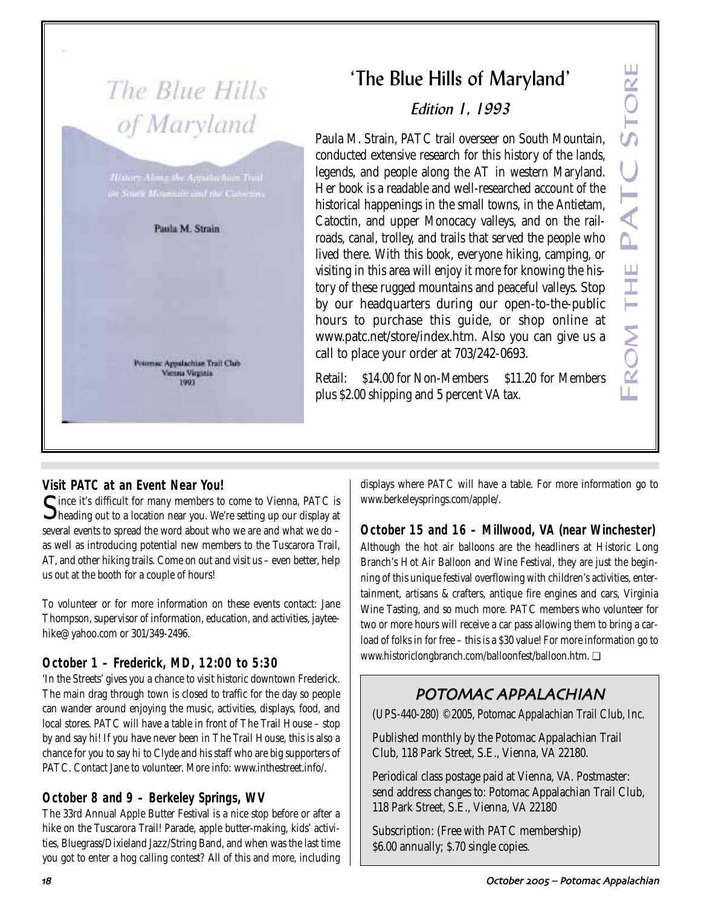# The Blue Hills of Maryland

Paula M. Strain

Potomac Appalachian Trail Club Vienna Virginia 1993

# 'The Blue Hills of Maryland'

# Edition 1, 1993

Paula M. Strain, PATC trail overseer on South Mountain, conducted extensive research for this history of the lands, legends, and people along the AT in western Maryland. Her book is a readable and well-researched account of the historical happenings in the small towns, in the Antietam, Catoctin, and upper Monocacy valleys, and on the railroads, canal, trolley, and trails that served the people who lived there. With this book, everyone hiking, camping, or visiting in this area will enjoy it more for knowing the history of these rugged mountains and peaceful valleys. Stop by our headquarters during our open-to-the-public hours to purchase this guide, or shop online at www.patc.net/store/index.htm. Also you can give us a call to place your order at 703/242-0693. The Blue Hills of Maryland'<br> *Edition 1, 1993*<br>
Paula M. Strain, PATC trail overseer on South Mountain,<br>
conducted extensive research for this history of the lands,<br>
legends, and people along the AT in western Maryland.<br>

Retail: \$14.00 for Non-Members \$11.20 for Members

# **Visit PATC at an Event Near You!**

Since it's difficult for many members to come to Vienna, PATC is  $\Box$  heading out to a location near you. We're setting up our display at several events to spread the word about who we are and what we do – as well as introducing potential new members to the Tuscarora Trail, AT, and other hiking trails. Come on out and visit us – even better, help us out at the booth for a couple of hours!

To volunteer or for more information on these events contact: Jane Thompson, supervisor of information, education, and activities, jayteehike@yahoo.com or 301/349-2496.

# **October 1 – Frederick, MD, 12:00 to 5:30**

'In the Streets' gives you a chance to visit historic downtown Frederick. The main drag through town is closed to traffic for the day so people can wander around enjoying the music, activities, displays, food, and local stores. PATC will have a table in front of The Trail House – stop by and say hi! If you have never been in The Trail House, this is also a chance for you to say hi to Clyde and his staff who are big supporters of PATC. Contact Jane to volunteer. More info: www.inthestreet.info/.

# **October 8 and 9 – Berkeley Springs, WV**

The 33rd Annual Apple Butter Festival is a nice stop before or after a hike on the Tuscarora Trail! Parade, apple butter-making, kids' activities, Bluegrass/Dixieland Jazz/String Band, and when was the last time you got to enter a hog calling contest? All of this and more, including displays where PATC will have a table. For more information go to www.berkeleysprings.com/apple/.

**October 15 and 16 – Millwood, VA (near Winchester)** Although the hot air balloons are the headliners at Historic Long Branch's Hot Air Balloon and Wine Festival, they are just the beginning of this unique festival overflowing with children's activities, entertainment, artisans & crafters, antique fire engines and cars, Virginia Wine Tasting, and so much more. PATC members who volunteer for two or more hours will receive a car pass allowing them to bring a carload of folks in for free – this is a \$30 value! For more information go to www.historiclongbranch.com/balloonfest/balloon.htm. ❏

# POTOMAC APPALACHIAN

(UPS-440-280) ©2005, Potomac Appalachian Trail Club, Inc.

Published monthly by the Potomac Appalachian Trail Club, 118 Park Street, S.E., Vienna, VA 22180.

Periodical class postage paid at Vienna, VA. Postmaster: send address changes to: Potomac Appalachian Trail Club, 118 Park Street, S.E., Vienna, VA 22180

Subscription: (Free with PATC membership) \$6.00 annually; \$.70 single copies.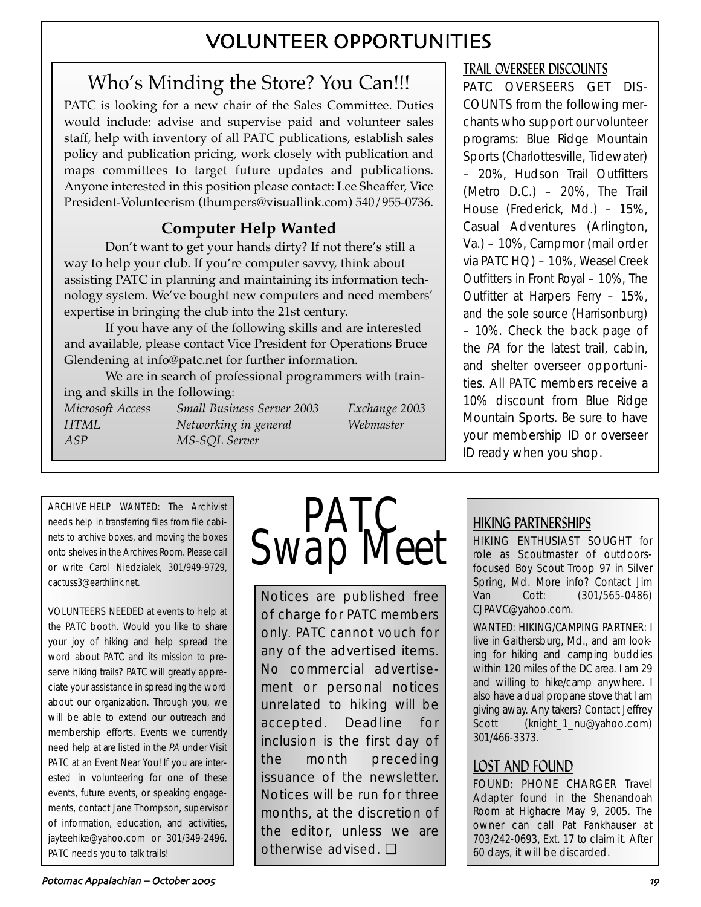# VOLUNTEER OPPORTUNITIES

# Who's Minding the Store? You Can!!!

PATC is looking for a new chair of the Sales Committee. Duties would include: advise and supervise paid and volunteer sales staff, help with inventory of all PATC publications, establish sales policy and publication pricing, work closely with publication and maps committees to target future updates and publications. Anyone interested in this position please contact: Lee Sheaffer, Vice President-Volunteerism (thumpers@visuallink.com) 540/955-0736.

# **Computer Help Wanted**

Don't want to get your hands dirty? If not there's still a way to help your club. If you're computer savvy, think about assisting PATC in planning and maintaining its information technology system. We've bought new computers and need members' expertise in bringing the club into the 21st century.

If you have any of the following skills and are interested and available, please contact Vice President for Operations Bruce Glendening at info@patc.net for further information.

We are in search of professional programmers with training and skills in the following: *Microsoft Access Small Business Server 2003 Exchange 2003 HTML Networking in general Webmaster ASP MS-SQL Server*

ARCHIVE HELP WANTED: The Archivist needs help in transferring files from file cabinets to archive boxes, and moving the boxes onto shelves in the Archives Room. Please call or write Carol Niedzialek, 301/949-9729, cactuss3@earthlink.net.

VOLUNTEERS NEEDED at events to help at the PATC booth. Would you like to share your joy of hiking and help spread the word about PATC and its mission to preserve hiking trails? PATC will greatly appreciate your assistance in spreading the word about our organization. Through you, we will be able to extend our outreach and membership efforts. Events we currently need help at are listed in the PA under Visit PATC at an Event Near You! If you are interested in volunteering for one of these events, future events, or speaking engagements, contact Jane Thompson, supervisor of information, education, and activities, jayteehike@yahoo.com or 301/349-2496. PATC needs you to talk trails!



Notices are published free of charge for PATC members only. PATC cannot vouch for any of the advertised items. No commercial advertisement or personal notices unrelated to hiking will be accepted. Deadline for inclusion is the first day of the month preceding issuance of the newsletter. Notices will be run for three months, at the discretion of the editor, unless we are otherwise advised. ❏

# TRAIL OVERSEER DISCOUNTS

PATC OVERSEERS GET DIS-COUNTS from the following merchants who support our volunteer programs: Blue Ridge Mountain Sports (Charlottesville, Tidewater) – 20%, Hudson Trail Outfitters (Metro D.C.) – 20%, The Trail House (Frederick, Md.) – 15%, Casual Adventures (Arlington, Va.) – 10%, Campmor (mail order via PATC HQ) – 10%, Weasel Creek Outfitters in Front Royal – 10%, The Outfitter at Harpers Ferry – 15%, and the sole source (Harrisonburg) – 10%. Check the back page of the PA for the latest trail, cabin, and shelter overseer opportunities. All PATC members receive a 10% discount from Blue Ridge Mountain Sports. Be sure to have your membership ID or overseer ID ready when you shop.

# HIKING PARTNERSHIPS

HIKING ENTHUSIAST SOUGHT for role as Scoutmaster of outdoorsfocused Boy Scout Troop 97 in Silver Spring, Md. More info? Contact Jim Van Cott: (301/565-0486) CJPAVC@yahoo.com.

WANTED: HIKING/CAMPING PARTNER: I live in Gaithersburg, Md., and am looking for hiking and camping buddies within 120 miles of the DC area. I am 29 and willing to hike/camp anywhere. I also have a dual propane stove that I am giving away. Any takers? Contact Jeffrey Scott (knight\_1\_nu@yahoo.com) 301/466-3373.

# LOST AND FOUND

FOUND: PHONE CHARGER Travel Adapter found in the Shenandoah Room at Highacre May 9, 2005. The owner can call Pat Fankhauser at 703/242-0693, Ext. 17 to claim it. After 60 days, it will be discarded.